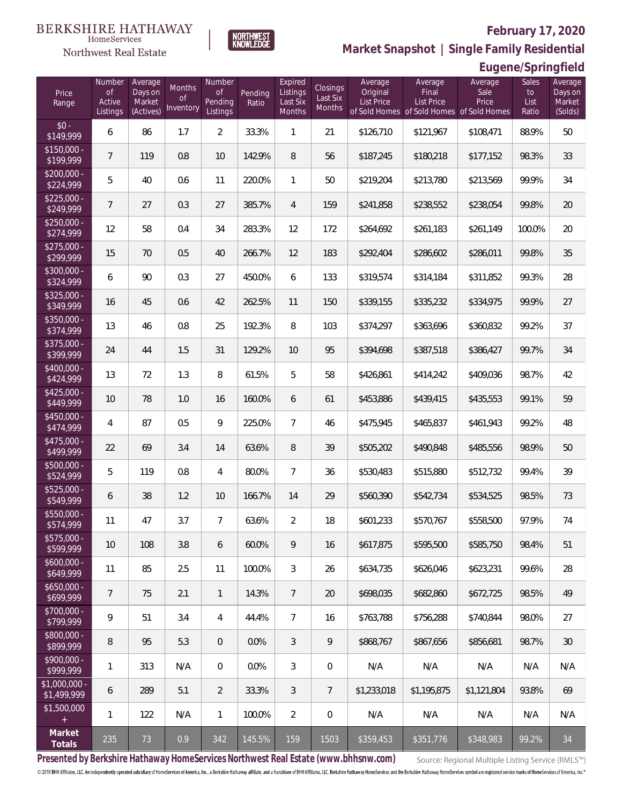**Eugene/Springfield**



**Market Snapshot | Single Family Residential**

#### HomeServices Northwest Real Estate

| Price<br>Range               | Number<br><b>of</b><br>Active<br>Listings | Average<br>Days on<br>Market<br>(Actives) | Months<br><b>of</b><br>Inventory | Number<br>Οf<br>Pending<br>Listings | Pending<br>Ratio | Expired<br>Listings<br>Last Six<br>Months | Closings<br>Last Six<br>Months | Average<br>Original<br><b>List Price</b> | Average<br>Final<br>List Price<br>of Sold Homes of Sold Homes of Sold Homes | Average<br>Sale<br>Price | Sales<br>to<br>List<br>Ratio | Average<br>Days on<br>Market<br>(Solds) |
|------------------------------|-------------------------------------------|-------------------------------------------|----------------------------------|-------------------------------------|------------------|-------------------------------------------|--------------------------------|------------------------------------------|-----------------------------------------------------------------------------|--------------------------|------------------------------|-----------------------------------------|
| $$0 -$<br>\$149,999          | 6                                         | 86                                        | 1.7                              | $\overline{2}$                      | 33.3%            | 1                                         | 21                             | \$126,710                                | \$121,967                                                                   | \$108,471                | 88.9%                        | 50                                      |
| $$150,000 -$<br>\$199,999    | $\overline{7}$                            | 119                                       | 0.8                              | 10                                  | 142.9%           | 8                                         | 56                             | \$187,245                                | \$180,218                                                                   | \$177,152                | 98.3%                        | 33                                      |
| $$200,000 -$<br>\$224,999    | 5                                         | 40                                        | 0.6                              | 11                                  | 220.0%           | $\mathbf{1}$                              | 50                             | \$219,204                                | \$213,780                                                                   | \$213,569                | 99.9%                        | 34                                      |
| $$225,000 -$<br>\$249,999    | $\overline{7}$                            | 27                                        | 0.3                              | 27                                  | 385.7%           | $\overline{4}$                            | 159                            | \$241,858                                | \$238,552                                                                   | \$238,054                | 99.8%                        | 20                                      |
| $$250,000 -$<br>\$274,999    | 12                                        | 58                                        | 0.4                              | 34                                  | 283.3%           | 12                                        | 172                            | \$264,692                                | \$261,183                                                                   | \$261,149                | 100.0%                       | 20                                      |
| $$275,000 -$<br>\$299,999    | 15                                        | 70                                        | 0.5                              | 40                                  | 266.7%           | 12                                        | 183                            | \$292,404                                | \$286,602                                                                   | \$286,011                | 99.8%                        | 35                                      |
| $$300,000 -$<br>\$324,999    | 6                                         | 90                                        | 0.3                              | 27                                  | 450.0%           | 6                                         | 133                            | \$319,574                                | \$314,184                                                                   | \$311,852                | 99.3%                        | 28                                      |
| $$325,000 -$<br>\$349,999    | 16                                        | 45                                        | 0.6                              | 42                                  | 262.5%           | 11                                        | 150                            | \$339,155                                | \$335,232                                                                   | \$334,975                | 99.9%                        | 27                                      |
| $$350,000 -$<br>\$374,999    | 13                                        | 46                                        | 0.8                              | 25                                  | 192.3%           | 8                                         | 103                            | \$374,297                                | \$363,696                                                                   | \$360,832                | 99.2%                        | 37                                      |
| $$375,000 -$<br>\$399,999    | 24                                        | 44                                        | 1.5                              | 31                                  | 129.2%           | 10                                        | 95                             | \$394,698                                | \$387,518                                                                   | \$386,427                | 99.7%                        | 34                                      |
| $$400,000 -$<br>\$424,999    | 13                                        | 72                                        | 1.3                              | 8                                   | 61.5%            | 5                                         | 58                             | \$426,861                                | \$414,242                                                                   | \$409,036                | 98.7%                        | 42                                      |
| \$425,000 -<br>\$449,999     | 10                                        | 78                                        | 1.0                              | 16                                  | 160.0%           | 6                                         | 61                             | \$453,886                                | \$439,415                                                                   | \$435,553                | 99.1%                        | 59                                      |
| $$450,000 -$<br>\$474,999    | $\overline{4}$                            | 87                                        | 0.5                              | 9                                   | 225.0%           | $\overline{7}$                            | 46                             | \$475,945                                | \$465,837                                                                   | \$461,943                | 99.2%                        | 48                                      |
| $$475,000 -$<br>\$499,999    | 22                                        | 69                                        | 3.4                              | 14                                  | 63.6%            | 8                                         | 39                             | \$505,202                                | \$490,848                                                                   | \$485,556                | 98.9%                        | 50                                      |
| $$500,000 -$<br>\$524,999    | 5                                         | 119                                       | 0.8                              | $\overline{4}$                      | 80.0%            | $\overline{7}$                            | 36                             | \$530,483                                | \$515,880                                                                   | \$512,732                | 99.4%                        | 39                                      |
| $$525,000 -$<br>\$549,999    | 6                                         | 38                                        | 1.2                              | 10                                  | 166.7%           | 14                                        | 29                             | \$560,390                                | \$542,734                                                                   | \$534,525                | 98.5%                        | 73                                      |
| \$550,000 -<br>\$574,999     | 11                                        | 47                                        | 3.7                              | $\overline{7}$                      | 63.6%            | $\overline{2}$                            | 18                             | \$601,233                                | \$570,767                                                                   | \$558,500                | 97.9%                        | 74                                      |
| $$575,000 -$<br>\$599,999    | 10                                        | 108                                       | 3.8                              | 6                                   | 60.0%            | 9                                         | 16                             | \$617,875                                | \$595,500                                                                   | \$585,750                | 98.4%                        | 51                                      |
| $$600,000 -$<br>\$649,999    | 11                                        | 85                                        | 2.5                              | 11                                  | 100.0%           | $\mathfrak{Z}$                            | 26                             | \$634,735                                | \$626,046                                                                   | \$623,231                | 99.6%                        | 28                                      |
| $$650,000 -$<br>\$699,999    | $\overline{7}$                            | 75                                        | 2.1                              | 1                                   | 14.3%            | $\overline{7}$                            | 20                             | \$698,035                                | \$682,860                                                                   | \$672,725                | 98.5%                        | 49                                      |
| $$700,000 -$<br>\$799,999    | 9                                         | 51                                        | 3.4                              | 4                                   | 44.4%            | $\overline{7}$                            | 16                             | \$763,788                                | \$756,288                                                                   | \$740,844                | 98.0%                        | 27                                      |
| \$800,000 -<br>\$899,999     | 8                                         | 95                                        | 5.3                              | $\overline{0}$                      | 0.0%             | 3                                         | 9                              | \$868,767                                | \$867,656                                                                   | \$856,681                | 98.7%                        | 30                                      |
| \$900,000 -<br>\$999,999     | $\mathbf{1}$                              | 313                                       | N/A                              | 0                                   | 0.0%             | $\mathfrak{Z}$                            | 0                              | N/A                                      | N/A                                                                         | N/A                      | N/A                          | N/A                                     |
| \$1,000,000 -<br>\$1,499,999 | 6                                         | 289                                       | 5.1                              | $\overline{2}$                      | 33.3%            | 3                                         | $7\phantom{.}$                 | \$1,233,018                              | \$1,195,875                                                                 | \$1,121,804              | 93.8%                        | 69                                      |
| \$1,500,000<br>$+$           | $\mathbf{1}$                              | 122                                       | N/A                              | $\mathbf{1}$                        | 100.0%           | $\overline{2}$                            | $\boldsymbol{0}$               | N/A                                      | N/A                                                                         | N/A                      | N/A                          | N/A                                     |
| Market<br>Totals             | 235                                       | 73                                        | 0.9                              | 342                                 | 145.5%           | 159                                       | 1503                           | \$359,453                                | \$351,776                                                                   | \$348,983                | 99.2%                        | 34                                      |

**Presented by Berkshire Hathaway HomeServices Northwest Real Estate (www.bhhsnw.com)**

Source: Regional Multiple Listing Service (RMLS™)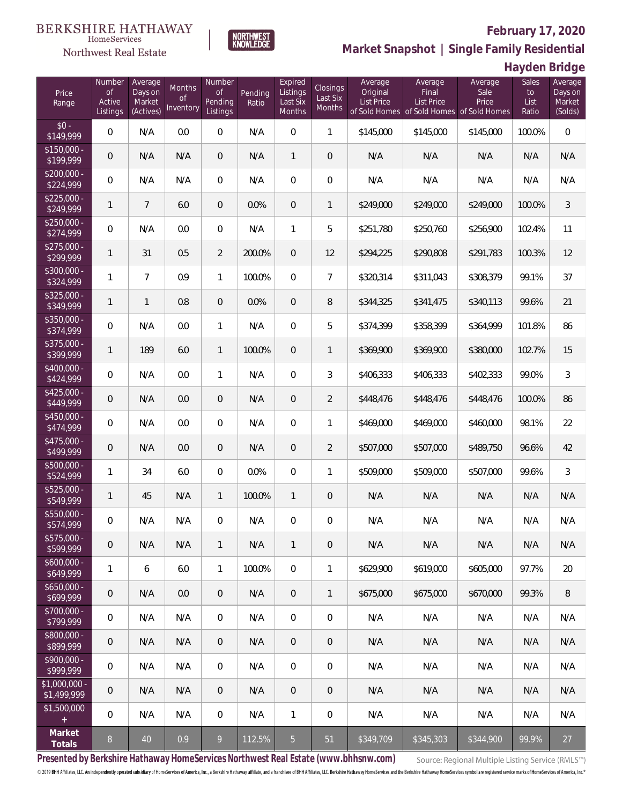

**NORTHWEST**<br>KNOWLEDGE

Northwest Real Estate

**Market Snapshot | Single Family Residential**

## **Hayden Bridge**

| Price<br>Range               | Number<br><b>of</b><br>Active<br>Listings | Average<br>Days on<br>Market<br>(Actives) | Months<br><b>of</b><br>Inventory | Number<br><b>of</b><br>Pending<br>Listings | Pending<br>Ratio | Expired<br>Listings<br>Last Six<br>Months | Closings<br>Last Six<br>Months | Average<br>Original<br><b>List Price</b> | Average<br>Final<br><b>List Price</b><br>of Sold Homes of Sold Homes of Sold Homes | Average<br>Sale<br>Price | Sales<br>to<br>List<br>Ratio | Average<br>Days on<br>Market<br>(Solds) |
|------------------------------|-------------------------------------------|-------------------------------------------|----------------------------------|--------------------------------------------|------------------|-------------------------------------------|--------------------------------|------------------------------------------|------------------------------------------------------------------------------------|--------------------------|------------------------------|-----------------------------------------|
| $$0 -$<br>\$149,999          | 0                                         | N/A                                       | 0.0                              | $\overline{0}$                             | N/A              | $\overline{0}$                            | $\mathbf{1}$                   | \$145,000                                | \$145,000                                                                          | \$145,000                | 100.0%                       | $\mathbf{0}$                            |
| $$150,000 -$<br>\$199,999    | 0                                         | N/A                                       | N/A                              | $\overline{0}$                             | N/A              | $\mathbf{1}$                              | $\theta$                       | N/A                                      | N/A                                                                                | N/A                      | N/A                          | N/A                                     |
| $$200,000 -$<br>\$224,999    | 0                                         | N/A                                       | N/A                              | $\overline{0}$                             | N/A              | $\overline{0}$                            | $\overline{0}$                 | N/A                                      | N/A                                                                                | N/A                      | N/A                          | N/A                                     |
| $$225,000 -$<br>\$249,999    | 1                                         | $\overline{7}$                            | 6.0                              | $\overline{0}$                             | 0.0%             | $\overline{0}$                            | $\mathbf{1}$                   | \$249,000                                | \$249,000                                                                          | \$249,000                | 100.0%                       | $\mathfrak{Z}$                          |
| $$250,000 -$<br>\$274,999    | 0                                         | N/A                                       | 0.0                              | $\overline{0}$                             | N/A              | $\mathbf{1}$                              | 5                              | \$251,780                                | \$250,760                                                                          | \$256,900                | 102.4%                       | 11                                      |
| $$275,000 -$<br>\$299,999    | $\mathbf{1}$                              | 31                                        | 0.5                              | $\overline{2}$                             | 200.0%           | $\overline{0}$                            | 12                             | \$294,225                                | \$290,808                                                                          | \$291,783                | 100.3%                       | 12                                      |
| $$300,000 -$<br>\$324,999    | $\mathbf{1}$                              | $\overline{7}$                            | 0.9                              | $\mathbf{1}$                               | 100.0%           | $\Omega$                                  | $\overline{7}$                 | \$320,314                                | \$311,043                                                                          | \$308,379                | 99.1%                        | 37                                      |
| $$325,000 -$<br>\$349,999    | 1                                         | $\mathbf{1}$                              | 0.8                              | $\overline{0}$                             | 0.0%             | $\overline{0}$                            | $\, 8$                         | \$344,325                                | \$341,475                                                                          | \$340,113                | 99.6%                        | 21                                      |
| $$350,000 -$<br>\$374,999    | 0                                         | N/A                                       | 0.0                              | $\mathbf{1}$                               | N/A              | $\overline{0}$                            | 5                              | \$374,399                                | \$358,399                                                                          | \$364,999                | 101.8%                       | 86                                      |
| $$375,000 -$<br>\$399,999    | $\mathbf{1}$                              | 189                                       | 6.0                              | $\mathbf{1}$                               | 100.0%           | $\overline{0}$                            | $\mathbf{1}$                   | \$369,900                                | \$369,900                                                                          | \$380,000                | 102.7%                       | 15                                      |
| $$400,000 -$<br>\$424,999    | 0                                         | N/A                                       | 0.0                              | $\mathbf{1}$                               | N/A              | $\Omega$                                  | 3                              | \$406,333                                | \$406,333                                                                          | \$402,333                | 99.0%                        | $\mathfrak{Z}$                          |
| $$425,000 -$<br>\$449,999    | 0                                         | N/A                                       | 0.0                              | $\overline{0}$                             | N/A              | $\overline{0}$                            | $\overline{2}$                 | \$448,476                                | \$448,476                                                                          | \$448,476                | 100.0%                       | 86                                      |
| $$450,000 -$<br>\$474,999    | 0                                         | N/A                                       | 0.0                              | $\mathbf 0$                                | N/A              | $\mathbf 0$                               | 1                              | \$469,000                                | \$469,000                                                                          | \$460,000                | 98.1%                        | 22                                      |
| $$475,000 -$<br>\$499,999    | 0                                         | N/A                                       | 0.0                              | $\overline{0}$                             | N/A              | $\overline{0}$                            | $\overline{2}$                 | \$507,000                                | \$507,000                                                                          | \$489,750                | 96.6%                        | 42                                      |
| $$500,000 -$<br>\$524,999    | $\mathbf{1}$                              | 34                                        | 6.0                              | $\Omega$                                   | 0.0%             | $\mathbf 0$                               | $\mathbf{1}$                   | \$509,000                                | \$509,000                                                                          | \$507,000                | 99.6%                        | 3                                       |
| \$525,000 -<br>\$549,999     | $\mathbf{1}$                              | 45                                        | N/A                              | $\mathbf{1}$                               | 100.0%           | $\mathbf{1}$                              | $\mathbf 0$                    | N/A                                      | N/A                                                                                | N/A                      | N/A                          | N/A                                     |
| $$550,000 -$<br>\$574,999    | 0                                         | N/A                                       | N/A                              | $\overline{0}$                             | N/A              | $\overline{0}$                            | $\mathbf 0$                    | N/A                                      | N/A                                                                                | N/A                      | N/A                          | N/A                                     |
| \$575,000 -<br>\$599,999     | 0                                         | N/A                                       | N/A                              | $\mathbf{1}$                               | N/A              | $\mathbf{1}$                              | $\mathbf 0$                    | N/A                                      | N/A                                                                                | N/A                      | N/A                          | N/A                                     |
| $$600,000 -$<br>\$649,999    | $\mathbf{1}$                              | 6                                         | 6.0                              | $\mathbf{1}$                               | 100.0%           | $\mathbf 0$                               | $\mathbf{1}$                   | \$629,900                                | \$619,000                                                                          | \$605,000                | 97.7%                        | 20                                      |
| $$650,000 -$<br>\$699,999    | $\boldsymbol{0}$                          | N/A                                       | 0.0                              | $\mathbf 0$                                | N/A              | $\sqrt{0}$                                | $\mathbf{1}$                   | \$675,000                                | \$675,000                                                                          | \$670,000                | 99.3%                        | 8                                       |
| \$700,000 -<br>\$799,999     | 0                                         | N/A                                       | N/A                              | $\overline{0}$                             | N/A              | $\mathbf 0$                               | $\mathbf 0$                    | N/A                                      | N/A                                                                                | N/A                      | N/A                          | N/A                                     |
| \$800,000 -<br>\$899,999     | $\boldsymbol{0}$                          | N/A                                       | N/A                              | $\mathbf 0$                                | N/A              | $\sqrt{0}$                                | $\mathbf 0$                    | N/A                                      | N/A                                                                                | N/A                      | N/A                          | N/A                                     |
| $$900,000 -$<br>\$999,999    | 0                                         | N/A                                       | N/A                              | $\overline{0}$                             | N/A              | $\mathbf 0$                               | $\mathbf 0$                    | N/A                                      | N/A                                                                                | N/A                      | N/A                          | N/A                                     |
| \$1,000,000 -<br>\$1,499,999 | $\boldsymbol{0}$                          | N/A                                       | N/A                              | $\overline{0}$                             | N/A              | $\sqrt{0}$                                | $\mathbf 0$                    | N/A                                      | N/A                                                                                | N/A                      | N/A                          | N/A                                     |
| \$1,500,000<br>$\pm$         | 0                                         | N/A                                       | N/A                              | $\mathbf 0$                                | N/A              | $\mathbf{1}$                              | $\mathbf 0$                    | N/A                                      | N/A                                                                                | N/A                      | N/A                          | N/A                                     |
| Market<br>Totals             | $8\phantom{.}$                            | 40                                        | 0.9                              | 9                                          | 112.5%           | $\overline{5}$                            | 51                             | \$349,709                                | \$345,303                                                                          | \$344,900                | 99.9%                        | 27                                      |

**Presented by Berkshire Hathaway HomeServices Northwest Real Estate (www.bhhsnw.com)**

Source: Regional Multiple Listing Service (RMLS™)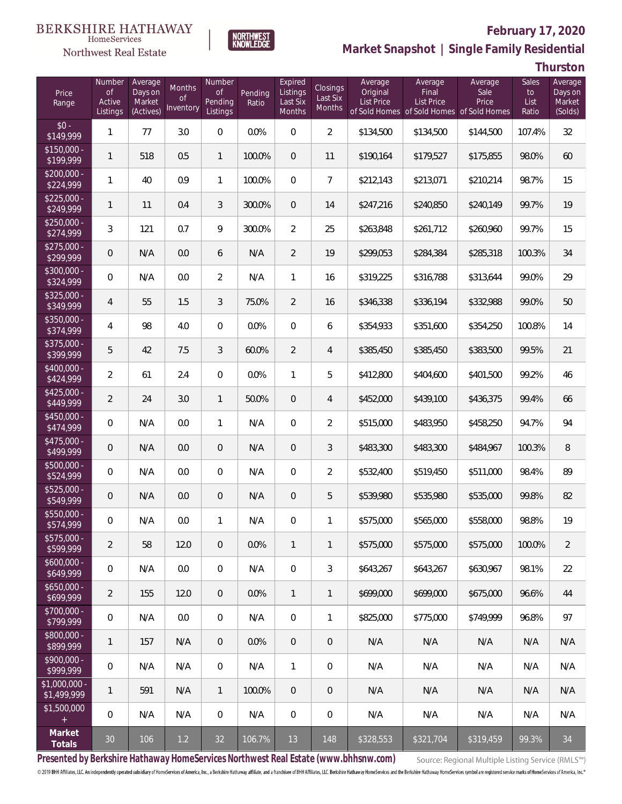### Northwest Real Estate



# **February 17, 2020**

**Market Snapshot | Single Family Residential**

**Thurston**

| Price<br>Range                | Number<br>of<br>Active<br>Listings | Average<br>Days on<br>Market<br>(Actives) | Months<br>Οf<br>Inventory | Number<br>Οf<br>Pending<br>Listings | Pending<br>Ratio | Expired<br>Listings<br>Last Six<br>Months | <b>Closings</b><br>Last Six<br>Months | Average<br>Original<br><b>List Price</b> | Average<br>Final<br><b>List Price</b><br>of Sold Homes of Sold Homes of Sold Homes | Average<br>Sale<br>Price | Sales<br>to<br>List<br>Ratio | Average<br>Days on<br>Market<br>(Solds) |
|-------------------------------|------------------------------------|-------------------------------------------|---------------------------|-------------------------------------|------------------|-------------------------------------------|---------------------------------------|------------------------------------------|------------------------------------------------------------------------------------|--------------------------|------------------------------|-----------------------------------------|
| $$0 -$<br>\$149,999           | 1                                  | 77                                        | 3.0                       | $\mathbf 0$                         | 0.0%             | $\overline{0}$                            | $\overline{2}$                        | \$134,500                                | \$134,500                                                                          | \$144,500                | 107.4%                       | 32                                      |
| $$150,000 -$<br>\$199,999     | $\mathbf{1}$                       | 518                                       | 0.5                       | $\mathbf{1}$                        | 100.0%           | $\overline{0}$                            | 11                                    | \$190,164                                | \$179,527                                                                          | \$175,855                | 98.0%                        | 60                                      |
| $$200,000 -$<br>\$224,999     | 1                                  | 40                                        | 0.9                       | $\mathbf{1}$                        | 100.0%           | $\mathbf{0}$                              | $\overline{7}$                        | \$212,143                                | \$213,071                                                                          | \$210,214                | 98.7%                        | 15                                      |
| $$225,000 -$<br>\$249,999     | $\mathbf{1}$                       | 11                                        | 0.4                       | 3                                   | 300.0%           | $\overline{0}$                            | 14                                    | \$247,216                                | \$240,850                                                                          | \$240,149                | 99.7%                        | 19                                      |
| $$250.000 -$<br>\$274,999     | 3                                  | 121                                       | 0.7                       | 9                                   | 300.0%           | $\overline{2}$                            | 25                                    | \$263,848                                | \$261,712                                                                          | \$260,960                | 99.7%                        | 15                                      |
| $$275.000 -$<br>\$299,999     | 0                                  | N/A                                       | 0.0                       | 6                                   | N/A              | $\overline{2}$                            | 19                                    | \$299,053                                | \$284,384                                                                          | \$285,318                | 100.3%                       | 34                                      |
| $$300,000 -$<br>\$324,999     | 0                                  | N/A                                       | 0.0                       | $\overline{2}$                      | N/A              | $\mathbf{1}$                              | 16                                    | \$319,225                                | \$316,788                                                                          | \$313,644                | 99.0%                        | 29                                      |
| $$325.000 -$<br>\$349,999     | 4                                  | 55                                        | 1.5                       | 3                                   | 75.0%            | $\overline{2}$                            | 16                                    | \$346,338                                | \$336,194                                                                          | \$332,988                | 99.0%                        | 50                                      |
| $$350.000 -$<br>\$374,999     | 4                                  | 98                                        | 4.0                       | $\mathbf{0}$                        | 0.0%             | $\mathbf{0}$                              | 6                                     | \$354,933                                | \$351,600                                                                          | \$354,250                | 100.8%                       | 14                                      |
| $$375.000 -$<br>\$399,999     | 5                                  | 42                                        | 7.5                       | 3                                   | 60.0%            | $\overline{2}$                            | $\overline{4}$                        | \$385,450                                | \$385,450                                                                          | \$383,500                | 99.5%                        | 21                                      |
| $$400.000 -$<br>\$424,999     | 2                                  | 61                                        | 2.4                       | $\overline{0}$                      | 0.0%             | $\mathbf{1}$                              | 5                                     | \$412,800                                | \$404,600                                                                          | \$401,500                | 99.2%                        | 46                                      |
| $$425,000 -$<br>\$449,999     | $\overline{2}$                     | 24                                        | 3.0                       | $\mathbf{1}$                        | 50.0%            | $\boldsymbol{0}$                          | $\overline{4}$                        | \$452,000                                | \$439,100                                                                          | \$436,375                | 99.4%                        | 66                                      |
| $$450,000 -$<br>\$474,999     | 0                                  | N/A                                       | 0.0                       | $\mathbf{1}$                        | N/A              | $\boldsymbol{0}$                          | $\overline{2}$                        | \$515,000                                | \$483,950                                                                          | \$458,250                | 94.7%                        | 94                                      |
| $$475,000 -$<br>\$499,999     | 0                                  | N/A                                       | 0.0                       | $\overline{0}$                      | N/A              | $\boldsymbol{0}$                          | 3                                     | \$483,300                                | \$483,300                                                                          | \$484,967                | 100.3%                       | $\, 8$                                  |
| $$500,000 -$<br>\$524,999     | 0                                  | N/A                                       | 0.0                       | $\overline{0}$                      | N/A              | $\boldsymbol{0}$                          | $\overline{2}$                        | \$532,400                                | \$519,450                                                                          | \$511,000                | 98.4%                        | 89                                      |
| $$525,000 -$<br>\$549,999     | 0                                  | N/A                                       | 0.0                       | $\overline{0}$                      | N/A              | $\overline{0}$                            | 5                                     | \$539,980                                | \$535,980                                                                          | \$535,000                | 99.8%                        | 82                                      |
| \$550,000 -<br>\$574,999      | 0                                  | N/A                                       | 0.0                       | 1                                   | N/A              | 0                                         | 1                                     | \$575,000                                | \$565,000                                                                          | \$558,000                | 98.8%                        | 19                                      |
| $$575,000 -$<br>\$599,999     | $\overline{2}$                     | 58                                        | 12.0                      | $\overline{0}$                      | 0.0%             | $\mathbf{1}$                              | $\mathbf{1}$                          | \$575,000                                | \$575,000                                                                          | \$575,000                | 100.0%                       | $\overline{2}$                          |
| $$600,000 -$<br>\$649,999     | 0                                  | N/A                                       | 0.0                       | $\overline{0}$                      | N/A              | $\overline{0}$                            | 3                                     | \$643,267                                | \$643,267                                                                          | \$630,967                | 98.1%                        | 22                                      |
| $$650,000 -$<br>\$699,999     | $\overline{2}$                     | 155                                       | 12.0                      | $\overline{0}$                      | 0.0%             | $\mathbf{1}$                              | $\mathbf{1}$                          | \$699,000                                | \$699,000                                                                          | \$675,000                | 96.6%                        | 44                                      |
| $$700,000 -$<br>\$799,999     | 0                                  | N/A                                       | 0.0                       | $\mathbf 0$                         | N/A              | $\mathbf 0$                               | 1                                     | \$825,000                                | \$775,000                                                                          | \$749.999                | 96.8%                        | 97                                      |
| \$800,000 -<br>\$899,999      | 1                                  | 157                                       | N/A                       | $\overline{0}$                      | 0.0%             | $\mathbf 0$                               | $\mathbf 0$                           | N/A                                      | N/A                                                                                | N/A                      | N/A                          | N/A                                     |
| $$900,000 -$<br>\$999,999     | 0                                  | N/A                                       | N/A                       | $\mathbf 0$                         | N/A              | $\mathbf{1}$                              | 0                                     | N/A                                      | N/A                                                                                | N/A                      | N/A                          | N/A                                     |
| $$1,000,000 -$<br>\$1,499,999 | 1                                  | 591                                       | N/A                       | $\mathbf{1}$                        | 100.0%           | $\overline{0}$                            | $\mathbf 0$                           | N/A                                      | N/A                                                                                | N/A                      | N/A                          | N/A                                     |
| \$1,500,000<br>$+$            | $\boldsymbol{0}$                   | N/A                                       | N/A                       | $\mathbf 0$                         | N/A              | $\boldsymbol{0}$                          | 0                                     | N/A                                      | N/A                                                                                | N/A                      | N/A                          | N/A                                     |
| Market<br>Totals              | $30\,$                             | 106                                       | $1.2\,$                   | 32                                  | 106.7%           | 13                                        | 148                                   | \$328,553                                | \$321,704                                                                          | \$319,459                | 99.3%                        | 34                                      |

**Presented by Berkshire Hathaway HomeServices Northwest Real Estate (www.bhhsnw.com)**

Source: Regional Multiple Listing Service (RMLS™)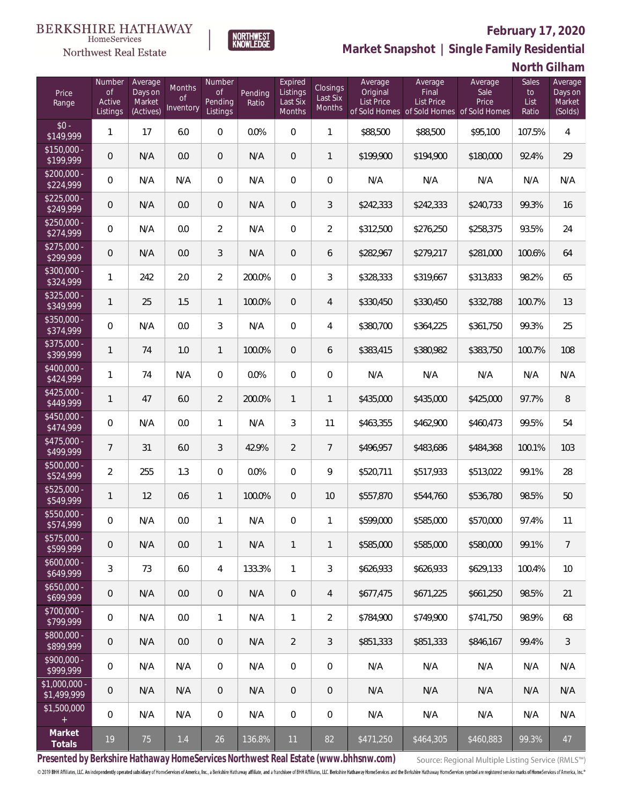

**NORTHWEST**<br>KNOWLEDGE

Northwest Real Estate

**Market Snapshot | Single Family Residential**

## **North Gilham**

| Price<br>Range                | Number<br><b>of</b><br>Active<br>Listings | Average<br>Days on<br>Market<br>(Actives) | Months<br>0f<br>Inventory | Number<br>Οf<br>Pending<br>Listings | Pending<br>Ratio | Expired<br>Listings<br>Last Six<br>Months | Closings<br>Last Six<br>Months | Average<br>Original<br><b>List Price</b> | Average<br>Final<br><b>List Price</b> | Average<br>Sale<br>Price<br>of Sold Homes of Sold Homes of Sold Homes | Sales<br>to<br>List<br>Ratio | Average<br>Days on<br>Market<br>(Solds) |
|-------------------------------|-------------------------------------------|-------------------------------------------|---------------------------|-------------------------------------|------------------|-------------------------------------------|--------------------------------|------------------------------------------|---------------------------------------|-----------------------------------------------------------------------|------------------------------|-----------------------------------------|
| $$0 -$<br>\$149,999           | 1                                         | 17                                        | 6.0                       | $\overline{0}$                      | 0.0%             | $\overline{0}$                            | $\mathbf{1}$                   | \$88,500                                 | \$88,500                              | \$95,100                                                              | 107.5%                       | $\overline{4}$                          |
| $$150,000 -$<br>\$199,999     | 0                                         | N/A                                       | 0.0                       | $\overline{0}$                      | N/A              | $\overline{0}$                            | $\mathbf{1}$                   | \$199,900                                | \$194,900                             | \$180,000                                                             | 92.4%                        | 29                                      |
| $$200,000 -$<br>\$224,999     | 0                                         | N/A                                       | N/A                       | $\overline{0}$                      | N/A              | $\overline{0}$                            | $\overline{0}$                 | N/A                                      | N/A                                   | N/A                                                                   | N/A                          | N/A                                     |
| $$225,000 -$<br>\$249,999     | 0                                         | N/A                                       | 0.0                       | $\overline{0}$                      | N/A              | $\overline{0}$                            | 3                              | \$242,333                                | \$242,333                             | \$240,733                                                             | 99.3%                        | 16                                      |
| $$250,000 -$<br>\$274,999     | 0                                         | N/A                                       | 0.0                       | $\overline{2}$                      | N/A              | $\overline{0}$                            | $\overline{2}$                 | \$312,500                                | \$276,250                             | \$258,375                                                             | 93.5%                        | 24                                      |
| $$275,000 -$<br>\$299,999     | 0                                         | N/A                                       | 0.0                       | 3                                   | N/A              | $\overline{0}$                            | 6                              | \$282,967                                | \$279,217                             | \$281,000                                                             | 100.6%                       | 64                                      |
| $$300,000 -$<br>\$324,999     | $\mathbf{1}$                              | 242                                       | 2.0                       | $\overline{2}$                      | 200.0%           | $\Omega$                                  | 3                              | \$328,333                                | \$319,667                             | \$313,833                                                             | 98.2%                        | 65                                      |
| $$325,000 -$<br>\$349,999     | $\mathbf{1}$                              | 25                                        | 1.5                       | $\mathbf{1}$                        | 100.0%           | $\overline{0}$                            | $\overline{4}$                 | \$330,450                                | \$330,450                             | \$332,788                                                             | 100.7%                       | 13                                      |
| $$350,000 -$<br>\$374,999     | 0                                         | N/A                                       | 0.0                       | 3                                   | N/A              | $\overline{0}$                            | 4                              | \$380,700                                | \$364,225                             | \$361,750                                                             | 99.3%                        | 25                                      |
| \$375,000 -<br>\$399,999      | $\mathbf{1}$                              | 74                                        | 1.0                       | $\mathbf{1}$                        | 100.0%           | $\overline{0}$                            | 6                              | \$383,415                                | \$380,982                             | \$383,750                                                             | 100.7%                       | 108                                     |
| $$400,000 -$<br>\$424,999     | $\mathbf{1}$                              | 74                                        | N/A                       | $\overline{0}$                      | 0.0%             | $\overline{0}$                            | $\mathbf 0$                    | N/A                                      | N/A                                   | N/A                                                                   | N/A                          | N/A                                     |
| $$425,000 -$<br>\$449,999     | 1                                         | 47                                        | 6.0                       | $\overline{2}$                      | 200.0%           | $\mathbf{1}$                              | $\mathbf{1}$                   | \$435,000                                | \$435,000                             | \$425,000                                                             | 97.7%                        | 8                                       |
| $$450,000 -$<br>\$474,999     | 0                                         | N/A                                       | 0.0                       | $\mathbf{1}$                        | N/A              | 3                                         | 11                             | \$463,355                                | \$462,900                             | \$460,473                                                             | 99.5%                        | 54                                      |
| $$475,000 -$<br>\$499,999     | $\overline{7}$                            | 31                                        | 6.0                       | 3                                   | 42.9%            | $\overline{2}$                            | $\overline{7}$                 | \$496,957                                | \$483,686                             | \$484,368                                                             | 100.1%                       | 103                                     |
| \$500,000 -<br>\$524,999      | $\overline{a}$                            | 255                                       | 1.3                       | $\overline{0}$                      | 0.0%             | $\Omega$                                  | 9                              | \$520,711                                | \$517,933                             | \$513,022                                                             | 99.1%                        | 28                                      |
| $$525,000 -$<br>\$549,999     | 1                                         | 12                                        | 0.6                       | $\mathbf{1}$                        | 100.0%           | $\overline{0}$                            | 10                             | \$557,870                                | \$544,760                             | \$536,780                                                             | 98.5%                        | 50                                      |
| \$550,000 -<br>\$574,999      | 0                                         | N/A                                       | 0.0                       | 1                                   | N/A              | $\overline{0}$                            | 1                              | \$599,000                                | \$585,000                             | \$570,000                                                             | 97.4%                        | 11                                      |
| \$575,000 -<br>\$599,999      | 0                                         | N/A                                       | 0.0                       | $\mathbf{1}$                        | N/A              | $\mathbf{1}$                              | $\mathbf{1}$                   | \$585,000                                | \$585,000                             | \$580,000                                                             | 99.1%                        | $\overline{7}$                          |
| $$600,000 -$<br>\$649,999     | $\mathfrak{Z}$                            | 73                                        | 6.0                       | 4                                   | 133.3%           | $\mathbf{1}$                              | $\mathfrak{Z}$                 | \$626,933                                | \$626,933                             | \$629,133                                                             | 100.4%                       | 10                                      |
| $$650,000 -$<br>\$699,999     | 0                                         | N/A                                       | 0.0                       | $\mathbf 0$                         | N/A              | $\sqrt{0}$                                | $\overline{4}$                 | \$677,475                                | \$671,225                             | \$661,250                                                             | 98.5%                        | 21                                      |
| $$700,000 -$<br>\$799,999     | 0                                         | N/A                                       | 0.0                       | $\mathbf{1}$                        | N/A              | $\mathbf{1}$                              | $\overline{2}$                 | \$784,900                                | \$749,900                             | \$741,750                                                             | 98.9%                        | 68                                      |
| \$800,000 -<br>\$899,999      | 0                                         | N/A                                       | 0.0                       | $\mathbf 0$                         | N/A              | $\overline{2}$                            | $\mathfrak{Z}$                 | \$851,333                                | \$851,333                             | \$846,167                                                             | 99.4%                        | $\mathfrak{Z}$                          |
| $$900,000 -$<br>\$999,999     | 0                                         | N/A                                       | N/A                       | $\overline{0}$                      | N/A              | $\mathbf 0$                               | $\mathbf 0$                    | N/A                                      | N/A                                   | N/A                                                                   | N/A                          | N/A                                     |
| $$1,000,000 -$<br>\$1,499,999 | 0                                         | N/A                                       | N/A                       | $\overline{0}$                      | N/A              | $\sqrt{0}$                                | $\mathbf 0$                    | N/A                                      | N/A                                   | N/A                                                                   | N/A                          | N/A                                     |
| \$1,500,000<br>$\pm$          | 0                                         | N/A                                       | N/A                       | $\mathbf 0$                         | N/A              | $\mathbf 0$                               | $\mathbf 0$                    | N/A                                      | N/A                                   | N/A                                                                   | N/A                          | N/A                                     |
| Market<br>Totals              | $19$                                      | 75                                        | $1.4\,$                   | 26                                  | 136.8%           | 11                                        | 82                             | \$471,250                                | \$464,305                             | \$460,883                                                             | 99.3%                        | 47                                      |

**Presented by Berkshire Hathaway HomeServices Northwest Real Estate (www.bhhsnw.com)**

Source: Regional Multiple Listing Service (RMLS™)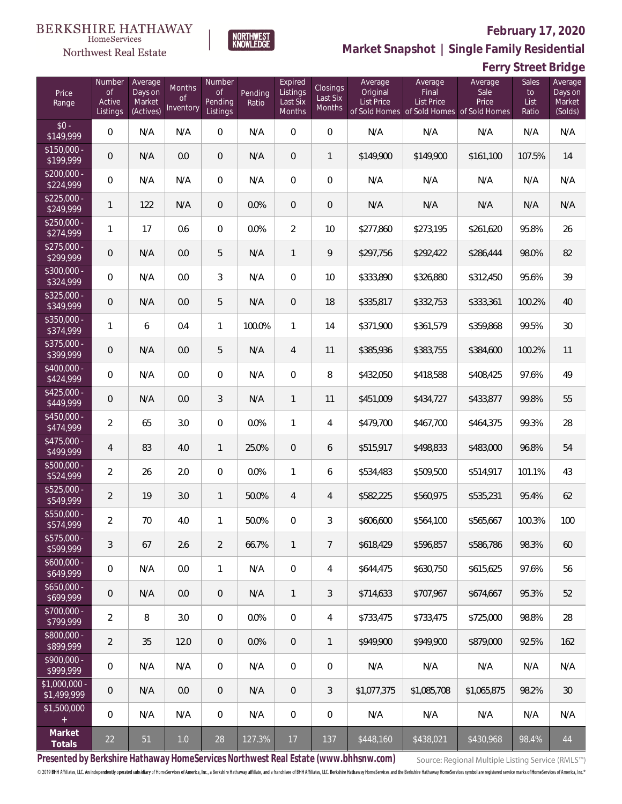**Ferry Street Bridge**



**Market Snapshot | Single Family Residential**

#### HomeServices Northwest Real Estate

| Price<br>Range                | Number<br><b>of</b><br>Active<br>Listings | Average<br>Days on<br>Market<br>(Actives) | Months<br>Οf<br>Inventory | Number<br><b>of</b><br>Pending<br>Listings | Pending<br>Ratio | Expired<br>Listings<br>Last Six<br>Months | Closings<br>Last Six<br>Months | Average<br>Original<br><b>List Price</b> | Average<br>Final<br>List Price<br>of Sold Homes of Sold Homes of Sold Homes | Average<br>Sale<br>Price | <b>Sales</b><br>to<br>List<br>Ratio | Average<br>Days on<br>Market<br>(Solds) |
|-------------------------------|-------------------------------------------|-------------------------------------------|---------------------------|--------------------------------------------|------------------|-------------------------------------------|--------------------------------|------------------------------------------|-----------------------------------------------------------------------------|--------------------------|-------------------------------------|-----------------------------------------|
| $$0 -$<br>\$149,999           | $\mathbf 0$                               | N/A                                       | N/A                       | $\Omega$                                   | N/A              | $\Omega$                                  | $\overline{0}$                 | N/A                                      | N/A                                                                         | N/A                      | N/A                                 | N/A                                     |
| $$150,000 -$<br>\$199,999     | 0                                         | N/A                                       | 0.0                       | $\overline{0}$                             | N/A              | $\overline{0}$                            | $\mathbf{1}$                   | \$149,900                                | \$149,900                                                                   | \$161,100                | 107.5%                              | 14                                      |
| $$200,000 -$<br>\$224,999     | 0                                         | N/A                                       | N/A                       | $\overline{0}$                             | N/A              | $\overline{0}$                            | 0                              | N/A                                      | N/A                                                                         | N/A                      | N/A                                 | N/A                                     |
| $$225,000 -$<br>\$249,999     | 1                                         | 122                                       | N/A                       | $\overline{0}$                             | 0.0%             | $\overline{0}$                            | $\mathbf 0$                    | N/A                                      | N/A                                                                         | N/A                      | N/A                                 | N/A                                     |
| $$250,000 -$<br>\$274,999     | 1                                         | 17                                        | 0.6                       | $\overline{0}$                             | 0.0%             | $\overline{2}$                            | 10                             | \$277,860                                | \$273,195                                                                   | \$261,620                | 95.8%                               | 26                                      |
| $$275,000 -$<br>\$299,999     | 0                                         | N/A                                       | 0.0                       | 5                                          | N/A              | $\mathbf{1}$                              | 9                              | \$297,756                                | \$292,422                                                                   | \$286,444                | 98.0%                               | 82                                      |
| $$300,000 -$<br>\$324,999     | 0                                         | N/A                                       | 0.0                       | 3                                          | N/A              | $\overline{0}$                            | 10                             | \$333,890                                | \$326,880                                                                   | \$312,450                | 95.6%                               | 39                                      |
| $$325,000 -$<br>\$349,999     | 0                                         | N/A                                       | 0.0                       | 5                                          | N/A              | $\overline{0}$                            | 18                             | \$335,817                                | \$332,753                                                                   | \$333,361                | 100.2%                              | 40                                      |
| \$350,000 -<br>\$374,999      | 1                                         | 6                                         | 0.4                       | $\mathbf{1}$                               | 100.0%           | $\mathbf{1}$                              | 14                             | \$371,900                                | \$361,579                                                                   | \$359,868                | 99.5%                               | 30                                      |
| \$375,000 -<br>\$399,999      | 0                                         | N/A                                       | 0.0                       | 5                                          | N/A              | $\overline{4}$                            | 11                             | \$385,936                                | \$383,755                                                                   | \$384,600                | 100.2%                              | 11                                      |
| \$400,000 -<br>\$424,999      | 0                                         | N/A                                       | 0.0                       | $\overline{0}$                             | N/A              | $\overline{0}$                            | 8                              | \$432,050                                | \$418,588                                                                   | \$408,425                | 97.6%                               | 49                                      |
| $$425,000 -$<br>\$449,999     | 0                                         | N/A                                       | 0.0                       | 3                                          | N/A              | $\mathbf{1}$                              | 11                             | \$451,009                                | \$434,727                                                                   | \$433,877                | 99.8%                               | 55                                      |
| \$450,000 -<br>\$474,999      | $\overline{a}$                            | 65                                        | 3.0                       | $\overline{0}$                             | 0.0%             | $\mathbf{1}$                              | 4                              | \$479,700                                | \$467,700                                                                   | \$464,375                | 99.3%                               | 28                                      |
| $$475,000 -$<br>\$499,999     | 4                                         | 83                                        | 4.0                       | $\mathbf{1}$                               | 25.0%            | $\mathbf{0}$                              | 6                              | \$515,917                                | \$498,833                                                                   | \$483,000                | 96.8%                               | 54                                      |
| $$500,000 -$<br>\$524,999     | $\overline{2}$                            | 26                                        | 2.0                       | $\overline{0}$                             | 0.0%             | 1                                         | 6                              | \$534,483                                | \$509,500                                                                   | \$514,917                | 101.1%                              | 43                                      |
| $$525,000 -$<br>\$549,999     | $\overline{2}$                            | 19                                        | 3.0                       | $\mathbf{1}$                               | 50.0%            | $\overline{4}$                            | 4                              | \$582,225                                | \$560,975                                                                   | \$535,231                | 95.4%                               | 62                                      |
| \$550,000 -<br>\$574,999      | $\overline{2}$                            | 70                                        | 4.0                       | $\mathbf{1}$                               | 50.0%            | 0                                         | 3                              | \$606,600                                | \$564,100                                                                   | \$565,667                | 100.3%                              | 100                                     |
| $$575,000 -$<br>\$599,999     | 3                                         | 67                                        | 2.6                       | $\overline{2}$                             | 66.7%            | $\mathbf{1}$                              | 7                              | \$618,429                                | \$596,857                                                                   | \$586,786                | 98.3%                               | 60                                      |
| $$600,000 -$<br>\$649,999     | 0                                         | N/A                                       | 0.0                       | $\mathbf{1}$                               | N/A              | $\mathbf 0$                               | 4                              | \$644,475                                | \$630,750                                                                   | \$615,625                | 97.6%                               | 56                                      |
| $$650,000 -$<br>\$699,999     | 0                                         | N/A                                       | 0.0                       | $\overline{0}$                             | N/A              | $\mathbf{1}$                              | 3                              | \$714,633                                | \$707.967                                                                   | \$674,667                | 95.3%                               | 52                                      |
| $$700,000 -$<br>\$799,999     | $\overline{2}$                            | 8                                         | 3.0                       | $\mathbf 0$                                | 0.0%             | $\mathbf 0$                               | 4                              | \$733,475                                | \$733,475                                                                   | \$725,000                | 98.8%                               | 28                                      |
| \$800,000 -<br>\$899,999      | $\overline{2}$                            | 35                                        | 12.0                      | $\overline{0}$                             | 0.0%             | $\theta$                                  | 1                              | \$949.900                                | \$949.900                                                                   | \$879,000                | 92.5%                               | 162                                     |
| \$900,000 -<br>\$999,999      | 0                                         | N/A                                       | N/A                       | $\mathbf 0$                                | N/A              | $\overline{0}$                            | 0                              | N/A                                      | N/A                                                                         | N/A                      | N/A                                 | N/A                                     |
| $$1,000,000 -$<br>\$1,499,999 | 0                                         | N/A                                       | 0.0                       | $\overline{0}$                             | N/A              | $\theta$                                  | 3                              | \$1,077,375                              | \$1,085,708                                                                 | \$1,065,875              | 98.2%                               | 30                                      |
| \$1,500,000<br>$+$            | $\overline{0}$                            | N/A                                       | N/A                       | $\boldsymbol{0}$                           | N/A              | $\mathbf 0$                               | 0                              | N/A                                      | N/A                                                                         | N/A                      | N/A                                 | N/A                                     |
| Market<br>Totals              | 22                                        | 51                                        | $1.0\,$                   | 28                                         | 127.3%           | 17                                        | 137                            | \$448,160                                | \$438,021                                                                   | \$430,968                | 98.4%                               | 44                                      |

**Presented by Berkshire Hathaway HomeServices Northwest Real Estate (www.bhhsnw.com)**

Source: Regional Multiple Listing Service (RMLS™)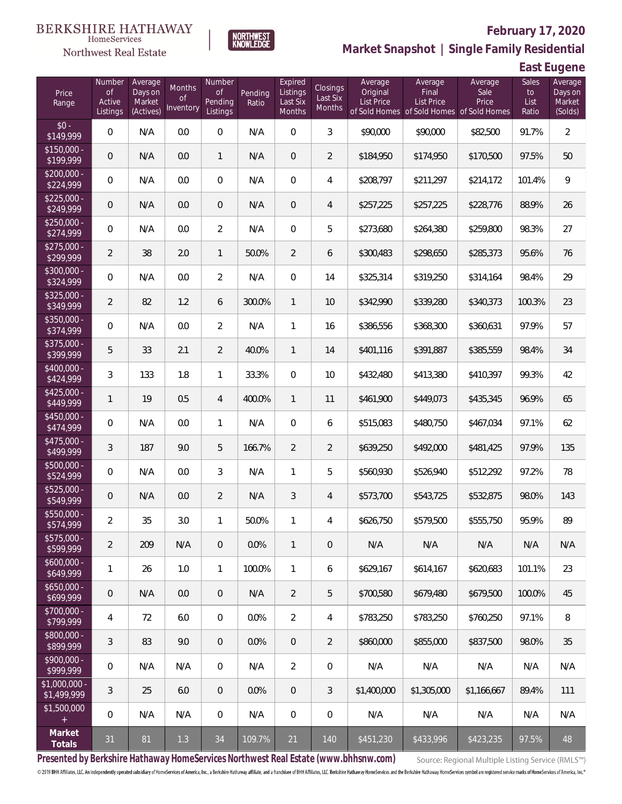

### **February 17, 2020**



**East Eugene**

| Price<br>Range                | Number<br>of<br>Active<br>Listings | Average<br>Days on<br>Market<br>(Actives) | Months<br>0f<br>Inventory | Number<br>Οf<br>Pending<br>Listings | Pending<br>Ratio | Expired<br>Listings<br>Last Six<br>Months | <b>Closings</b><br>Last Six<br>Months | Average<br>Original<br>List Price | Average<br>Final<br><b>List Price</b><br>of Sold Homes of Sold Homes of Sold Homes | Average<br>Sale<br>Price | Sales<br>to<br>List<br>Ratio | Average<br>Days on<br>Market<br>(Solds) |
|-------------------------------|------------------------------------|-------------------------------------------|---------------------------|-------------------------------------|------------------|-------------------------------------------|---------------------------------------|-----------------------------------|------------------------------------------------------------------------------------|--------------------------|------------------------------|-----------------------------------------|
| $$0 -$<br>\$149,999           | $\overline{0}$                     | N/A                                       | 0.0                       | $\overline{0}$                      | N/A              | $\Omega$                                  | 3                                     | \$90,000                          | \$90,000                                                                           | \$82,500                 | 91.7%                        | $\overline{2}$                          |
| $$150,000 -$<br>\$199,999     | 0                                  | N/A                                       | 0.0                       | $\mathbf{1}$                        | N/A              | $\overline{0}$                            | $\overline{2}$                        | \$184,950                         | \$174,950                                                                          | \$170,500                | 97.5%                        | 50                                      |
| $$200,000 -$<br>\$224,999     | $\overline{0}$                     | N/A                                       | 0.0                       | $\overline{0}$                      | N/A              | $\overline{0}$                            | $\overline{4}$                        | \$208,797                         | \$211,297                                                                          | \$214,172                | 101.4%                       | 9                                       |
| $$225,000 -$<br>\$249,999     | 0                                  | N/A                                       | 0.0                       | $\overline{0}$                      | N/A              | $\overline{0}$                            | $\overline{4}$                        | \$257,225                         | \$257,225                                                                          | \$228,776                | 88.9%                        | 26                                      |
| $$250,000 -$<br>\$274,999     | 0                                  | N/A                                       | 0.0                       | $\overline{2}$                      | N/A              | $\Omega$                                  | 5                                     | \$273,680                         | \$264,380                                                                          | \$259,800                | 98.3%                        | 27                                      |
| $$275,000 -$<br>\$299,999     | $\overline{2}$                     | 38                                        | 2.0                       | $\mathbf{1}$                        | 50.0%            | $\overline{2}$                            | 6                                     | \$300,483                         | \$298,650                                                                          | \$285,373                | 95.6%                        | 76                                      |
| $$300,000 -$<br>\$324,999     | $\overline{0}$                     | N/A                                       | 0.0                       | $\overline{2}$                      | N/A              | $\Omega$                                  | 14                                    | \$325,314                         | \$319,250                                                                          | \$314,164                | 98.4%                        | 29                                      |
| $$325,000 -$<br>\$349,999     | $\overline{2}$                     | 82                                        | 1.2                       | 6                                   | 300.0%           | $\mathbf{1}$                              | 10                                    | \$342,990                         | \$339,280                                                                          | \$340,373                | 100.3%                       | 23                                      |
| $$350,000 -$<br>\$374,999     | $\overline{0}$                     | N/A                                       | 0.0                       | $\overline{2}$                      | N/A              | $\mathbf{1}$                              | 16                                    | \$386,556                         | \$368,300                                                                          | \$360,631                | 97.9%                        | 57                                      |
| $$375,000 -$<br>\$399,999     | 5                                  | 33                                        | 2.1                       | $\overline{2}$                      | 40.0%            | $\mathbf{1}$                              | 14                                    | \$401,116                         | \$391,887                                                                          | \$385,559                | 98.4%                        | 34                                      |
| $$400,000 -$<br>\$424,999     | 3                                  | 133                                       | 1.8                       | $\mathbf{1}$                        | 33.3%            | $\Omega$                                  | 10                                    | \$432,480                         | \$413,380                                                                          | \$410,397                | 99.3%                        | 42                                      |
| $$425,000 -$<br>\$449,999     | 1                                  | 19                                        | 0.5                       | $\overline{4}$                      | 400.0%           | $\mathbf{1}$                              | 11                                    | \$461,900                         | \$449,073                                                                          | \$435,345                | 96.9%                        | 65                                      |
| $$450,000 -$<br>\$474,999     | $\overline{0}$                     | N/A                                       | 0.0                       | $\mathbf{1}$                        | N/A              | $\overline{0}$                            | 6                                     | \$515,083                         | \$480,750                                                                          | \$467,034                | 97.1%                        | 62                                      |
| $$475,000 -$<br>\$499,999     | 3                                  | 187                                       | 9.0                       | 5                                   | 166.7%           | $\overline{2}$                            | $\overline{2}$                        | \$639,250                         | \$492,000                                                                          | \$481,425                | 97.9%                        | 135                                     |
| $$500,000 -$<br>\$524,999     | $\overline{0}$                     | N/A                                       | 0.0                       | 3                                   | N/A              | $\mathbf{1}$                              | 5                                     | \$560,930                         | \$526,940                                                                          | \$512,292                | 97.2%                        | 78                                      |
| $$525,000 -$<br>\$549,999     | $\overline{0}$                     | N/A                                       | 0.0                       | $\overline{2}$                      | N/A              | $\mathfrak{Z}$                            | $\overline{4}$                        | \$573,700                         | \$543,725                                                                          | \$532,875                | 98.0%                        | 143                                     |
| $$550,000 -$<br>\$574,999     | $\overline{a}$                     | 35                                        | 3.0                       | 1                                   | 50.0%            | 1                                         | 4                                     | \$626,750                         | \$579,500                                                                          | \$555,750                | 95.9%                        | 89                                      |
| $$575,000 -$<br>\$599,999     | $\overline{2}$                     | 209                                       | N/A                       | $\theta$                            | 0.0%             | $\mathbf{1}$                              | $\mathbf 0$                           | N/A                               | N/A                                                                                | N/A                      | N/A                          | N/A                                     |
| $$600,000 -$<br>\$649,999     | 1                                  | 26                                        | 1.0                       | $\mathbf{1}$                        | 100.0%           | $\mathbf{1}$                              | 6                                     | \$629,167                         | \$614,167                                                                          | \$620,683                | 101.1%                       | 23                                      |
| $$650,000 -$<br>\$699,999     | $\mathbf 0$                        | N/A                                       | 0.0                       | $\overline{0}$                      | N/A              | $\overline{2}$                            | 5                                     | \$700,580                         | \$679,480                                                                          | \$679,500                | 100.0%                       | 45                                      |
| $$700,000 -$<br>\$799,999     | 4                                  | 72                                        | 6.0                       | $\boldsymbol{0}$                    | 0.0%             | $\overline{2}$                            | 4                                     | \$783,250                         | \$783,250                                                                          | \$760,250                | 97.1%                        | 8                                       |
| $$800,000 -$<br>\$899,999     | 3                                  | 83                                        | 9.0                       | $\overline{0}$                      | 0.0%             | $\overline{0}$                            | $\overline{2}$                        | \$860,000                         | \$855,000                                                                          | \$837,500                | 98.0%                        | 35                                      |
| $$900,000 -$<br>\$999,999     | $\boldsymbol{0}$                   | N/A                                       | N/A                       | $\boldsymbol{0}$                    | N/A              | $\overline{2}$                            | $\mathbf 0$                           | N/A                               | N/A                                                                                | N/A                      | N/A                          | N/A                                     |
| $$1,000,000$ -<br>\$1,499,999 | 3                                  | 25                                        | 6.0                       | $\overline{0}$                      | 0.0%             | $\mathbf 0$                               | 3                                     | \$1,400,000                       | \$1,305,000                                                                        | \$1,166,667              | 89.4%                        | 111                                     |
| \$1,500,000<br>$+$            | $\mathbf 0$                        | N/A                                       | N/A                       | 0                                   | N/A              | 0                                         | $\mathbf 0$                           | N/A                               | N/A                                                                                | N/A                      | N/A                          | N/A                                     |
| Market<br>Totals              | 31                                 | 81                                        | 1.3                       | 34                                  | 109.7%           | 21                                        | 140                                   | \$451,230                         | \$433,996                                                                          | \$423,235                | 97.5%                        | 48                                      |

**NORTHWEST**<br>KNOWLEDGE

**Presented by Berkshire Hathaway HomeServices Northwest Real Estate (www.bhhsnw.com)**

Source: Regional Multiple Listing Service (RMLS™)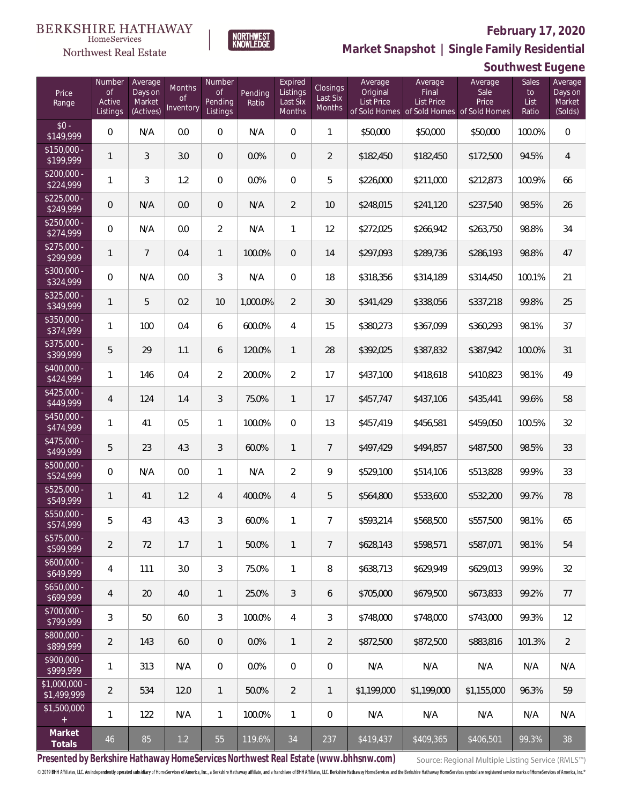**Southwest Eugene**



**Market Snapshot | Single Family Residential**

#### $\label{lem:sevices} \textsc{Home} \textsc{Service} \textsc{s}$ Northwest Real Estate

| Price<br>Range                | Number<br>of<br>Active<br>Listings | Average<br>Days on<br>Market<br>(Actives) | Months<br>0f<br>Inventory | Number<br><b>of</b><br>Pending<br>Listings | Pending<br>Ratio | Expired<br>Listings<br>Last Six<br>Months | Closings<br>Last Six<br>Months | Average<br>Original<br><b>List Price</b> | Average<br>Final<br>List Price<br>of Sold Homes of Sold Homes of Sold Homes | Average<br>Sale<br>Price | Sales<br>to<br>List<br>Ratio | Average<br>Days on<br>Market<br>(Solds) |
|-------------------------------|------------------------------------|-------------------------------------------|---------------------------|--------------------------------------------|------------------|-------------------------------------------|--------------------------------|------------------------------------------|-----------------------------------------------------------------------------|--------------------------|------------------------------|-----------------------------------------|
| $$0 -$<br>\$149,999           | 0                                  | N/A                                       | 0.0                       | $\overline{0}$                             | N/A              | $\overline{0}$                            | 1                              | \$50,000                                 | \$50,000                                                                    | \$50,000                 | 100.0%                       | $\mathbf 0$                             |
| $$150,000 -$<br>\$199,999     | 1                                  | 3                                         | 3.0                       | $\overline{0}$                             | 0.0%             | $\overline{0}$                            | $\overline{2}$                 | \$182,450                                | \$182,450                                                                   | \$172,500                | 94.5%                        | $\overline{4}$                          |
| $$200,000 -$<br>\$224,999     | 1                                  | 3                                         | 1.2                       | $\overline{0}$                             | 0.0%             | $\overline{0}$                            | 5                              | \$226,000                                | \$211,000                                                                   | \$212,873                | 100.9%                       | 66                                      |
| $$225.000 -$<br>\$249,999     | 0                                  | N/A                                       | 0.0                       | $\overline{0}$                             | N/A              | $\overline{2}$                            | 10                             | \$248,015                                | \$241,120                                                                   | \$237,540                | 98.5%                        | 26                                      |
| $$250,000 -$<br>\$274,999     | 0                                  | N/A                                       | 0.0                       | $\overline{2}$                             | N/A              | 1                                         | 12                             | \$272,025                                | \$266,942                                                                   | \$263,750                | 98.8%                        | 34                                      |
| $$275,000 -$<br>\$299,999     | 1                                  | $\overline{7}$                            | 0.4                       | $\mathbf{1}$                               | 100.0%           | $\overline{0}$                            | 14                             | \$297,093                                | \$289,736                                                                   | \$286,193                | 98.8%                        | 47                                      |
| \$300,000 -<br>\$324,999      | $\overline{0}$                     | N/A                                       | 0.0                       | 3                                          | N/A              | $\overline{0}$                            | 18                             | \$318,356                                | \$314,189                                                                   | \$314,450                | 100.1%                       | 21                                      |
| $$325,000 -$<br>\$349,999     | 1                                  | 5                                         | 0.2                       | 10                                         | 1,000.0%         | $\overline{2}$                            | 30                             | \$341,429                                | \$338,056                                                                   | \$337,218                | 99.8%                        | 25                                      |
| $$350,000 -$<br>\$374,999     | 1                                  | 100                                       | 0.4                       | 6                                          | 600.0%           | $\overline{4}$                            | 15                             | \$380,273                                | \$367,099                                                                   | \$360,293                | 98.1%                        | 37                                      |
| $$375,000 -$<br>\$399,999     | 5                                  | 29                                        | 1.1                       | 6                                          | 120.0%           | $\mathbf{1}$                              | 28                             | \$392,025                                | \$387,832                                                                   | \$387,942                | 100.0%                       | 31                                      |
| \$400,000 -<br>\$424,999      | 1                                  | 146                                       | 0.4                       | $\overline{2}$                             | 200.0%           | $\overline{2}$                            | 17                             | \$437,100                                | \$418,618                                                                   | \$410,823                | 98.1%                        | 49                                      |
| $$425,000 -$<br>\$449,999     | $\overline{4}$                     | 124                                       | 1.4                       | 3                                          | 75.0%            | $\mathbf{1}$                              | 17                             | \$457,747                                | \$437,106                                                                   | \$435,441                | 99.6%                        | 58                                      |
| $$450,000 -$<br>\$474,999     | 1                                  | 41                                        | 0.5                       | $\mathbf{1}$                               | 100.0%           | $\overline{0}$                            | 13                             | \$457,419                                | \$456,581                                                                   | \$459,050                | 100.5%                       | 32                                      |
| $$475,000 -$<br>\$499,999     | 5                                  | 23                                        | 4.3                       | 3                                          | 60.0%            | $\mathbf{1}$                              | $\overline{7}$                 | \$497,429                                | \$494,857                                                                   | \$487,500                | 98.5%                        | 33                                      |
| $$500,000 -$<br>\$524,999     | $\boldsymbol{0}$                   | N/A                                       | 0.0                       | $\mathbf{1}$                               | N/A              | $\overline{2}$                            | 9                              | \$529,100                                | \$514,106                                                                   | \$513,828                | 99.9%                        | 33                                      |
| $$525,000 -$<br>\$549,999     | 1                                  | 41                                        | 1.2                       | 4                                          | 400.0%           | $\overline{4}$                            | 5                              | \$564,800                                | \$533,600                                                                   | \$532,200                | 99.7%                        | 78                                      |
| \$550,000 -<br>\$574,999      | 5                                  | 43                                        | 4.3                       | 3                                          | 60.0%            | 1                                         | $\overline{7}$                 | \$593,214                                | \$568,500                                                                   | \$557,500                | 98.1%                        | 65                                      |
| $$575,000 -$<br>\$599,999     | 2                                  | 72                                        | 1.7                       | $\mathbf{1}$                               | 50.0%            | $\mathbf{1}$                              | $\overline{7}$                 | \$628,143                                | \$598,571                                                                   | \$587,071                | 98.1%                        | 54                                      |
| $$600,000 -$<br>\$649,999     | 4                                  | 111                                       | 3.0                       | 3                                          | 75.0%            | $\mathbf{1}$                              | 8                              | \$638,713                                | \$629,949                                                                   | \$629,013                | 99.9%                        | 32                                      |
| $$650,000 -$<br>\$699,999     | 4                                  | 20                                        | 4.0                       | $\mathbf{1}$                               | 25.0%            | 3                                         | 6                              | \$705,000                                | \$679,500                                                                   | \$673,833                | 99.2%                        | 77                                      |
| $$700,000 -$<br>\$799,999     | 3                                  | 50                                        | 6.0                       | 3                                          | 100.0%           | 4                                         | 3                              | \$748,000                                | \$748,000                                                                   | \$743,000                | 99.3%                        | 12                                      |
| $$800,000 -$<br>\$899,999     | 2                                  | 143                                       | 6.0                       | $\overline{0}$                             | 0.0%             | $\mathbf{1}$                              | $\overline{2}$                 | \$872,500                                | \$872,500                                                                   | \$883,816                | 101.3%                       | $\overline{2}$                          |
| $$900,000 -$<br>\$999,999     | 1                                  | 313                                       | N/A                       | $\overline{0}$                             | 0.0%             | $\mathbf{0}$                              | $\mathbf{0}$                   | N/A                                      | N/A                                                                         | N/A                      | N/A                          | N/A                                     |
| $$1,000,000 -$<br>\$1,499,999 | $\overline{2}$                     | 534                                       | 12.0                      | $\overline{1}$                             | 50.0%            | $\overline{2}$                            | $\mathbf{1}$                   | \$1.199.000                              | \$1,199,000                                                                 | \$1,155,000              | 96.3%                        | 59                                      |
| \$1,500,000                   | 1                                  | 122                                       | N/A                       | $\mathbf{1}$                               | 100.0%           | $\mathbf{1}$                              | $\mathbf 0$                    | N/A                                      | N/A                                                                         | N/A                      | N/A                          | N/A                                     |
| Market<br>Totals              | 46                                 | 85                                        | 1.2                       | 55                                         | 119.6%           | 34                                        | 237                            | \$419,437                                | \$409,365                                                                   | \$406,501                | 99.3%                        | 38                                      |

**Presented by Berkshire Hathaway HomeServices Northwest Real Estate (www.bhhsnw.com)**

Source: Regional Multiple Listing Service (RMLS™)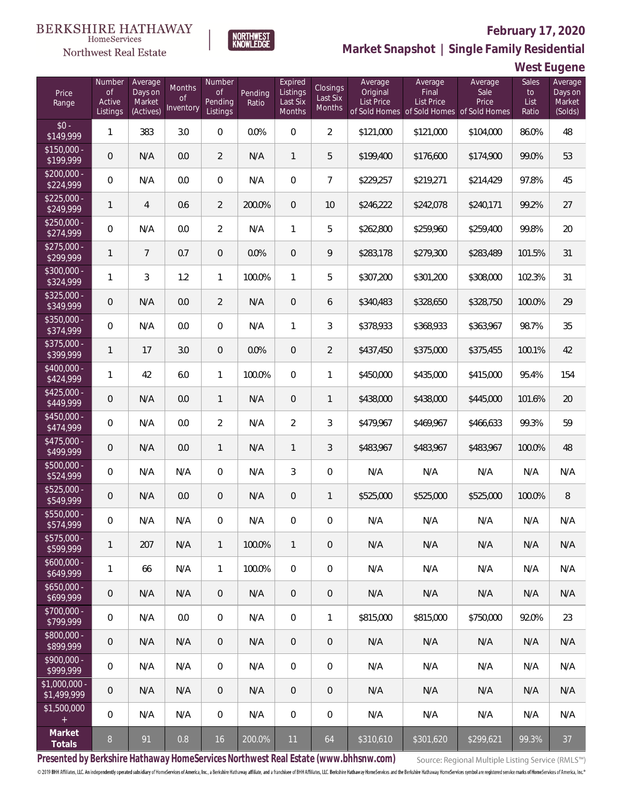

### **February 17, 2020**

**Market Snapshot | Single Family Residential**

**West Eugene**

| Price<br>Range               | Number<br><b>of</b><br>Active<br>Listings | Average<br>Days on<br>Market<br>(Actives) | <b>Months</b><br>0f<br>Inventory | Number<br>Οf<br>Pending<br>Listings | Pending<br>Ratio | Expired<br>Listings<br>Last Six<br>Months | <b>Closings</b><br>Last Six<br>Months | Average<br>Original<br><b>List Price</b> | Average<br>Final<br><b>List Price</b><br>of Sold Homes of Sold Homes of Sold Homes | Average<br>Sale<br>Price | Sales<br>to<br>List<br>Ratio | Average<br>Days on<br>Market<br>(Solds) |
|------------------------------|-------------------------------------------|-------------------------------------------|----------------------------------|-------------------------------------|------------------|-------------------------------------------|---------------------------------------|------------------------------------------|------------------------------------------------------------------------------------|--------------------------|------------------------------|-----------------------------------------|
| $$0 -$<br>\$149,999          | 1                                         | 383                                       | 3.0                              | $\Omega$                            | 0.0%             | $\Omega$                                  | $\overline{2}$                        | \$121,000                                | \$121,000                                                                          | \$104,000                | 86.0%                        | 48                                      |
| $$150,000 -$<br>\$199,999    | 0                                         | N/A                                       | 0.0                              | $\overline{2}$                      | N/A              | $\mathbf{1}$                              | 5                                     | \$199,400                                | \$176,600                                                                          | \$174,900                | 99.0%                        | 53                                      |
| $$200,000 -$<br>\$224,999    | 0                                         | N/A                                       | 0.0                              | $\overline{0}$                      | N/A              | $\overline{0}$                            | $\overline{7}$                        | \$229,257                                | \$219,271                                                                          | \$214,429                | 97.8%                        | 45                                      |
| $$225,000 -$<br>\$249,999    | 1                                         | $\overline{4}$                            | 0.6                              | $\overline{2}$                      | 200.0%           | $\overline{0}$                            | 10                                    | \$246,222                                | \$242,078                                                                          | \$240,171                | 99.2%                        | 27                                      |
| $$250,000 -$<br>\$274,999    | 0                                         | N/A                                       | 0.0                              | $\overline{2}$                      | N/A              | $\mathbf{1}$                              | 5                                     | \$262,800                                | \$259,960                                                                          | \$259,400                | 99.8%                        | 20                                      |
| $$275,000 -$<br>\$299,999    | 1                                         | $\overline{7}$                            | 0.7                              | $\overline{0}$                      | 0.0%             | $\overline{0}$                            | 9                                     | \$283,178                                | \$279,300                                                                          | \$283,489                | 101.5%                       | 31                                      |
| $$300,000 -$<br>\$324,999    | $\mathbf{1}$                              | 3                                         | 1.2                              | $\mathbf{1}$                        | 100.0%           | $\mathbf{1}$                              | 5                                     | \$307,200                                | \$301,200                                                                          | \$308,000                | 102.3%                       | 31                                      |
| $$325,000 -$<br>\$349,999    | 0                                         | N/A                                       | 0.0                              | $\overline{2}$                      | N/A              | $\overline{0}$                            | 6                                     | \$340,483                                | \$328,650                                                                          | \$328,750                | 100.0%                       | 29                                      |
| $$350,000 -$<br>\$374,999    | 0                                         | N/A                                       | 0.0                              | $\overline{0}$                      | N/A              | $\mathbf{1}$                              | 3                                     | \$378,933                                | \$368,933                                                                          | \$363,967                | 98.7%                        | 35                                      |
| $$375,000 -$<br>\$399,999    | 1                                         | 17                                        | 3.0                              | $\overline{0}$                      | 0.0%             | $\overline{0}$                            | $\overline{2}$                        | \$437,450                                | \$375,000                                                                          | \$375,455                | 100.1%                       | 42                                      |
| $$400,000 -$<br>\$424,999    | $\mathbf{1}$                              | 42                                        | 6.0                              | $\mathbf{1}$                        | 100.0%           | $\Omega$                                  | $\mathbf{1}$                          | \$450,000                                | \$435,000                                                                          | \$415,000                | 95.4%                        | 154                                     |
| $$425,000 -$<br>\$449,999    | 0                                         | N/A                                       | 0.0                              | $\mathbf{1}$                        | N/A              | $\overline{0}$                            | $\mathbf{1}$                          | \$438,000                                | \$438,000                                                                          | \$445,000                | 101.6%                       | 20                                      |
| $$450,000 -$<br>\$474,999    | 0                                         | N/A                                       | 0.0                              | $\overline{2}$                      | N/A              | $\overline{2}$                            | 3                                     | \$479,967                                | \$469,967                                                                          | \$466,633                | 99.3%                        | 59                                      |
| $$475,000 -$<br>\$499,999    | 0                                         | N/A                                       | 0.0                              | $\mathbf{1}$                        | N/A              | $\mathbf{1}$                              | 3                                     | \$483,967                                | \$483,967                                                                          | \$483,967                | 100.0%                       | 48                                      |
| \$500,000 -<br>\$524,999     | 0                                         | N/A                                       | N/A                              | $\overline{0}$                      | N/A              | 3                                         | $\overline{0}$                        | N/A                                      | N/A                                                                                | N/A                      | N/A                          | N/A                                     |
| \$525,000 -<br>\$549,999     | 0                                         | N/A                                       | 0.0                              | $\overline{0}$                      | N/A              | $\overline{0}$                            | $\mathbf{1}$                          | \$525,000                                | \$525,000                                                                          | \$525,000                | 100.0%                       | 8                                       |
| \$550,000 -<br>\$574,999     | 0                                         | N/A                                       | N/A                              | 0                                   | N/A              | $\overline{0}$                            | $\mathbf 0$                           | N/A                                      | N/A                                                                                | N/A                      | N/A                          | N/A                                     |
| $$575,000 -$<br>\$599,999    | $\mathbf{1}$                              | 207                                       | N/A                              | $\mathbf{1}$                        | 100.0%           | $\mathbf{1}$                              | $\theta$                              | N/A                                      | N/A                                                                                | N/A                      | N/A                          | N/A                                     |
| $$600,000 -$<br>\$649,999    | $\mathbf{1}$                              | 66                                        | N/A                              | $\mathbf{1}$                        | 100.0%           | $\mathbf 0$                               | $\mathbf 0$                           | N/A                                      | N/A                                                                                | N/A                      | N/A                          | N/A                                     |
| $$650,000 -$<br>\$699,999    | 0                                         | N/A                                       | N/A                              | $\overline{0}$                      | N/A              | $\overline{0}$                            | $\mathbf 0$                           | N/A                                      | N/A                                                                                | N/A                      | N/A                          | N/A                                     |
| \$700,000 -<br>\$799,999     | 0                                         | N/A                                       | 0.0                              | $\overline{0}$                      | N/A              | $\mathbf 0$                               | $\mathbf{1}$                          | \$815,000                                | \$815,000                                                                          | \$750,000                | 92.0%                        | 23                                      |
| \$800,000 -<br>\$899,999     | 0                                         | N/A                                       | N/A                              | $\overline{0}$                      | N/A              | $\sqrt{0}$                                | $\mathbf 0$                           | N/A                                      | N/A                                                                                | N/A                      | N/A                          | N/A                                     |
| \$900,000 -<br>\$999,999     | 0                                         | N/A                                       | N/A                              | $\overline{0}$                      | N/A              | $\mathbf 0$                               | $\mathbf 0$                           | N/A                                      | N/A                                                                                | N/A                      | N/A                          | N/A                                     |
| \$1,000,000 -<br>\$1,499,999 | 0                                         | N/A                                       | N/A                              | $\overline{0}$                      | N/A              | $\sqrt{0}$                                | $\overline{0}$                        | N/A                                      | N/A                                                                                | N/A                      | N/A                          | N/A                                     |
| \$1,500,000<br>$\pm$         | 0                                         | N/A                                       | N/A                              | $\overline{0}$                      | N/A              | $\mathbf 0$                               | $\mathbf 0$                           | N/A                                      | N/A                                                                                | N/A                      | N/A                          | N/A                                     |
| Market<br>Totals             | $\,8\,$                                   | 91                                        | 0.8                              | 16                                  | 200.0%           | 11                                        | 64                                    | \$310,610                                | \$301,620                                                                          | \$299,621                | 99.3%                        | 37                                      |

**NORTHWEST**<br>KNOWLEDGE

**Presented by Berkshire Hathaway HomeServices Northwest Real Estate (www.bhhsnw.com)**

Source: Regional Multiple Listing Service (RMLS™)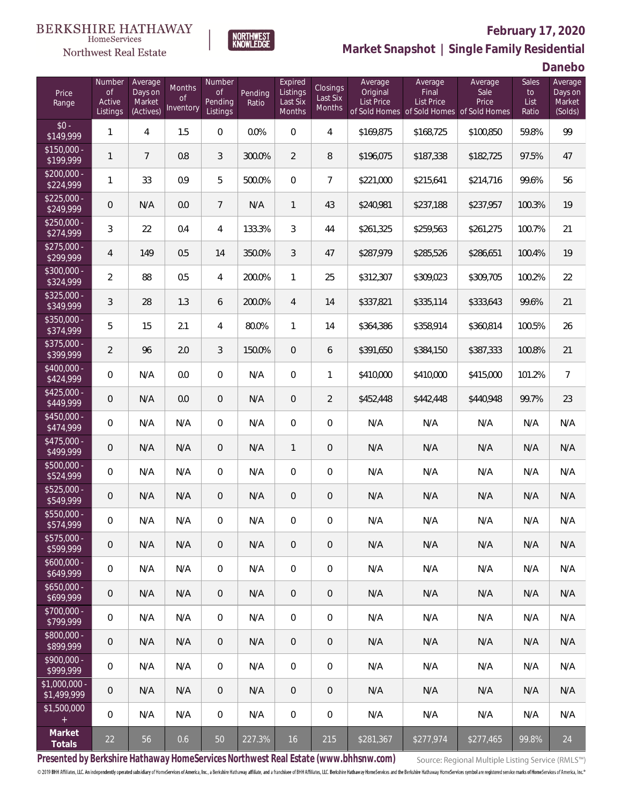



# **February 17, 2020**

**Market Snapshot | Single Family Residential**

**Danebo**

| Price<br>Range               | Number<br>of<br>Active<br>Listings | Average<br>Days on<br>Market<br>(Actives) | Months<br>0f<br>Inventory | Number<br><b>of</b><br>Pending<br>Listings | Pending<br>Ratio | Expired<br>Listings<br>Last Six<br>Months | Closings<br>Last Six<br>Months | Average<br>Original<br><b>List Price</b> | Average<br>Final<br><b>List Price</b><br>of Sold Homes of Sold Homes of Sold Homes | Average<br>Sale<br>Price | Sales<br>to<br>List<br>Ratio | Average<br>Days on<br>Market<br>(Solds) |
|------------------------------|------------------------------------|-------------------------------------------|---------------------------|--------------------------------------------|------------------|-------------------------------------------|--------------------------------|------------------------------------------|------------------------------------------------------------------------------------|--------------------------|------------------------------|-----------------------------------------|
| $$0 -$<br>\$149,999          | 1                                  | 4                                         | 1.5                       | $\Omega$                                   | 0.0%             | $\Omega$                                  | $\overline{4}$                 | \$169,875                                | \$168,725                                                                          | \$100,850                | 59.8%                        | 99                                      |
| $$150,000 -$<br>\$199,999    | 1                                  | $\overline{7}$                            | 0.8                       | 3                                          | 300.0%           | $\overline{2}$                            | 8                              | \$196,075                                | \$187,338                                                                          | \$182,725                | 97.5%                        | 47                                      |
| $$200,000 -$<br>\$224,999    | 1                                  | 33                                        | 0.9                       | 5                                          | 500.0%           | $\overline{0}$                            | $\overline{7}$                 | \$221,000                                | \$215,641                                                                          | \$214,716                | 99.6%                        | 56                                      |
| $$225,000 -$<br>\$249,999    | 0                                  | N/A                                       | 0.0                       | $7\overline{ }$                            | N/A              | $\mathbf{1}$                              | 43                             | \$240,981                                | \$237,188                                                                          | \$237,957                | 100.3%                       | 19                                      |
| $$250,000 -$<br>\$274,999    | 3                                  | 22                                        | 0.4                       | 4                                          | 133.3%           | 3                                         | 44                             | \$261,325                                | \$259,563                                                                          | \$261,275                | 100.7%                       | 21                                      |
| $$275,000 -$<br>\$299,999    | 4                                  | 149                                       | 0.5                       | 14                                         | 350.0%           | 3                                         | 47                             | \$287,979                                | \$285,526                                                                          | \$286,651                | 100.4%                       | 19                                      |
| $$300,000 -$<br>\$324,999    | $\overline{a}$                     | 88                                        | 0.5                       | 4                                          | 200.0%           | $\mathbf{1}$                              | 25                             | \$312,307                                | \$309,023                                                                          | \$309,705                | 100.2%                       | 22                                      |
| $$325,000 -$<br>\$349,999    | 3                                  | 28                                        | 1.3                       | 6                                          | 200.0%           | $\overline{4}$                            | 14                             | \$337,821                                | \$335,114                                                                          | \$333,643                | 99.6%                        | 21                                      |
| $$350,000 -$<br>\$374,999    | 5                                  | 15                                        | 2.1                       | $\overline{4}$                             | 80.0%            | $\mathbf{1}$                              | 14                             | \$364,386                                | \$358,914                                                                          | \$360,814                | 100.5%                       | 26                                      |
| $$375,000 -$<br>\$399,999    | $\overline{2}$                     | 96                                        | 2.0                       | 3                                          | 150.0%           | $\overline{0}$                            | 6                              | \$391,650                                | \$384,150                                                                          | \$387,333                | 100.8%                       | 21                                      |
| $$400,000 -$<br>\$424,999    | $\overline{0}$                     | N/A                                       | 0.0                       | $\overline{0}$                             | N/A              | $\overline{0}$                            | $\mathbf{1}$                   | \$410,000                                | \$410,000                                                                          | \$415,000                | 101.2%                       | $\overline{7}$                          |
| $$425,000 -$<br>\$449,999    | 0                                  | N/A                                       | 0.0                       | $\overline{0}$                             | N/A              | $\overline{0}$                            | $\overline{2}$                 | \$452,448                                | \$442,448                                                                          | \$440,948                | 99.7%                        | 23                                      |
| $$450,000 -$<br>\$474,999    | $\overline{0}$                     | N/A                                       | N/A                       | $\overline{0}$                             | N/A              | $\overline{0}$                            | $\overline{0}$                 | N/A                                      | N/A                                                                                | N/A                      | N/A                          | N/A                                     |
| $$475,000 -$<br>\$499,999    | 0                                  | N/A                                       | N/A                       | $\overline{0}$                             | N/A              | $\overline{1}$                            | $\overline{0}$                 | N/A                                      | N/A                                                                                | N/A                      | N/A                          | N/A                                     |
| $$500,000 -$<br>\$524,999    | $\overline{0}$                     | N/A                                       | N/A                       | $\overline{0}$                             | N/A              | $\overline{0}$                            | $\overline{0}$                 | N/A                                      | N/A                                                                                | N/A                      | N/A                          | N/A                                     |
| $$525,000 -$<br>\$549,999    | 0                                  | N/A                                       | N/A                       | $\overline{0}$                             | N/A              | $\overline{0}$                            | $\mathbf 0$                    | N/A                                      | N/A                                                                                | N/A                      | N/A                          | N/A                                     |
| $$550,000 -$<br>\$574,999    | 0                                  | N/A                                       | N/A                       | $\overline{0}$                             | N/A              | $\overline{0}$                            | $\mathbf 0$                    | N/A                                      | N/A                                                                                | N/A                      | N/A                          | N/A                                     |
| $$575,000 -$<br>\$599,999    | 0                                  | N/A                                       | N/A                       | $\overline{0}$                             | N/A              | $\overline{0}$                            | $\mathbf 0$                    | N/A                                      | N/A                                                                                | N/A                      | N/A                          | N/A                                     |
| $$600,000 -$<br>\$649,999    | $\mathbf 0$                        | N/A                                       | N/A                       | $\mathbf 0$                                | N/A              | $\mathbf 0$                               | $\mathbf 0$                    | N/A                                      | N/A                                                                                | N/A                      | N/A                          | N/A                                     |
| $$650,000 -$<br>\$699,999    | $\theta$                           | N/A                                       | N/A                       | $\overline{0}$                             | N/A              | $\overline{0}$                            | 0                              | N/A                                      | N/A                                                                                | N/A                      | N/A                          | N/A                                     |
| $$700,000 -$<br>\$799,999    | 0                                  | N/A                                       | N/A                       | $\overline{0}$                             | N/A              | $\mathbf 0$                               | 0                              | N/A                                      | N/A                                                                                | N/A                      | N/A                          | N/A                                     |
| $$800,000 -$<br>\$899,999    | $\theta$                           | N/A                                       | N/A                       | $\overline{0}$                             | N/A              | $\overline{0}$                            | 0                              | N/A                                      | N/A                                                                                | N/A                      | N/A                          | N/A                                     |
| \$900,000 -<br>\$999,999     | $\mathbb O$                        | N/A                                       | N/A                       | $\overline{0}$                             | N/A              | $\mathbf 0$                               | 0                              | N/A                                      | N/A                                                                                | N/A                      | N/A                          | N/A                                     |
| \$1,000,000 -<br>\$1,499,999 | $\mathbf 0$                        | N/A                                       | N/A                       | $\overline{0}$                             | N/A              | $\overline{0}$                            | 0                              | N/A                                      | N/A                                                                                | N/A                      | N/A                          | N/A                                     |
| \$1,500,000<br>$\pm$         | $\mathbf 0$                        | N/A                                       | N/A                       | $\mathbf 0$                                | N/A              | $\mathbf 0$                               | $\mathbf 0$                    | N/A                                      | N/A                                                                                | N/A                      | N/A                          | N/A                                     |
| Market<br>Totals             | 22                                 | 56                                        | 0.6                       | 50                                         | 227.3%           | 16                                        | 215                            | \$281,367                                | \$277,974                                                                          | \$277,465                | 99.8%                        | 24                                      |

**Presented by Berkshire Hathaway HomeServices Northwest Real Estate (www.bhhsnw.com)**

Source: Regional Multiple Listing Service (RMLS™)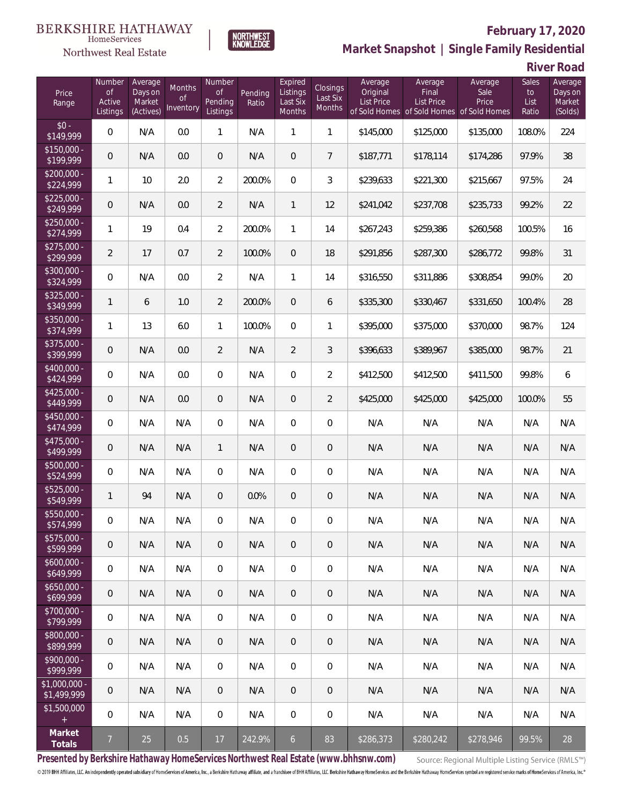### Northwest Real Estate



# **February 17, 2020**

**Market Snapshot | Single Family Residential**

**River Road**

| Price<br>Range               | Number<br>of<br>Active<br>Listings | Average<br>Days on<br>Market<br>(Actives) | <b>Months</b><br>0f<br>Inventory | Number<br><b>of</b><br>Pending<br>Listings | Pending<br>Ratio | Expired<br>Listings<br>Last Six<br>Months | Closings<br>Last Six<br><b>Months</b> | Average<br>Original<br><b>List Price</b> | Average<br>Final<br><b>List Price</b><br>of Sold Homes of Sold Homes | Average<br>Sale<br>Price<br>of Sold Homes | Sales<br>to<br>List<br>Ratio | Average<br>Days on<br>Market<br>(Solds) |
|------------------------------|------------------------------------|-------------------------------------------|----------------------------------|--------------------------------------------|------------------|-------------------------------------------|---------------------------------------|------------------------------------------|----------------------------------------------------------------------|-------------------------------------------|------------------------------|-----------------------------------------|
| $$0 -$<br>\$149,999          | $\overline{0}$                     | N/A                                       | 0.0                              | $\mathbf{1}$                               | N/A              | $\mathbf{1}$                              | $\mathbf{1}$                          | \$145,000                                | \$125,000                                                            | \$135,000                                 | 108.0%                       | 224                                     |
| $$150,000 -$<br>\$199,999    | $\overline{0}$                     | N/A                                       | 0.0                              | $\overline{0}$                             | N/A              | $\overline{0}$                            | $\overline{7}$                        | \$187,771                                | \$178,114                                                            | \$174,286                                 | 97.9%                        | 38                                      |
| $$200,000 -$<br>\$224,999    | 1                                  | 10                                        | 2.0                              | $\overline{2}$                             | 200.0%           | $\overline{0}$                            | 3                                     | \$239,633                                | \$221,300                                                            | \$215,667                                 | 97.5%                        | 24                                      |
| $$225,000 -$<br>\$249,999    | 0                                  | N/A                                       | 0.0                              | $\overline{2}$                             | N/A              | $\mathbf{1}$                              | 12                                    | \$241,042                                | \$237,708                                                            | \$235,733                                 | 99.2%                        | 22                                      |
| $$250,000 -$<br>\$274,999    | 1                                  | 19                                        | 0.4                              | $\overline{2}$                             | 200.0%           | $\mathbf{1}$                              | 14                                    | \$267,243                                | \$259,386                                                            | \$260,568                                 | 100.5%                       | 16                                      |
| $$275,000 -$<br>\$299,999    | $\overline{2}$                     | 17                                        | 0.7                              | $\overline{2}$                             | 100.0%           | $\overline{0}$                            | 18                                    | \$291,856                                | \$287,300                                                            | \$286,772                                 | 99.8%                        | 31                                      |
| $$300,000 -$<br>\$324,999    | $\overline{0}$                     | N/A                                       | 0.0                              | $\overline{2}$                             | N/A              | $\mathbf{1}$                              | 14                                    | \$316,550                                | \$311,886                                                            | \$308,854                                 | 99.0%                        | 20                                      |
| $$325,000 -$<br>\$349,999    | 1                                  | 6                                         | 1.0                              | $\overline{2}$                             | 200.0%           | $\overline{0}$                            | 6                                     | \$335,300                                | \$330,467                                                            | \$331,650                                 | 100.4%                       | 28                                      |
| $$350,000 -$<br>\$374,999    | 1                                  | 13                                        | 6.0                              | $\mathbf{1}$                               | 100.0%           | $\overline{0}$                            | 1                                     | \$395,000                                | \$375,000                                                            | \$370,000                                 | 98.7%                        | 124                                     |
| $$375,000 -$<br>\$399,999    | 0                                  | N/A                                       | 0.0                              | $\overline{2}$                             | N/A              | $\overline{2}$                            | 3                                     | \$396,633                                | \$389,967                                                            | \$385,000                                 | 98.7%                        | 21                                      |
| $$400,000 -$<br>\$424,999    | $\overline{0}$                     | N/A                                       | 0.0                              | $\overline{0}$                             | N/A              | $\overline{0}$                            | $\overline{2}$                        | \$412,500                                | \$412,500                                                            | \$411,500                                 | 99.8%                        | 6                                       |
| $$425,000 -$<br>\$449,999    | 0                                  | N/A                                       | 0.0                              | $\overline{0}$                             | N/A              | $\overline{0}$                            | $\overline{2}$                        | \$425,000                                | \$425,000                                                            | \$425,000                                 | 100.0%                       | 55                                      |
| \$450,000 -<br>\$474,999     | $\overline{0}$                     | N/A                                       | N/A                              | $\overline{0}$                             | N/A              | $\overline{0}$                            | $\overline{0}$                        | N/A                                      | N/A                                                                  | N/A                                       | N/A                          | N/A                                     |
| $$475,000 -$<br>\$499,999    | 0                                  | N/A                                       | N/A                              | $\mathbf{1}$                               | N/A              | $\overline{0}$                            | $\overline{0}$                        | N/A                                      | N/A                                                                  | N/A                                       | N/A                          | N/A                                     |
| $$500,000 -$<br>\$524,999    | $\overline{0}$                     | N/A                                       | N/A                              | $\overline{0}$                             | N/A              | $\overline{0}$                            | $\overline{0}$                        | N/A                                      | N/A                                                                  | N/A                                       | N/A                          | N/A                                     |
| $$525,000 -$<br>\$549,999    | $\mathbf{1}$                       | 94                                        | N/A                              | $\overline{0}$                             | 0.0%             | $\overline{0}$                            | $\mathbf 0$                           | N/A                                      | N/A                                                                  | N/A                                       | N/A                          | N/A                                     |
| \$550,000 -<br>\$574,999     | 0                                  | N/A                                       | N/A                              | $\overline{0}$                             | N/A              | $\overline{0}$                            | $\mathbf 0$                           | N/A                                      | N/A                                                                  | N/A                                       | N/A                          | N/A                                     |
| $$575,000 -$<br>\$599,999    | 0                                  | N/A                                       | N/A                              | $\overline{0}$                             | N/A              | $\overline{0}$                            | $\mathbf 0$                           | N/A                                      | N/A                                                                  | N/A                                       | N/A                          | N/A                                     |
| $$600,000 -$<br>\$649,999    | $\mathbf 0$                        | N/A                                       | N/A                              | $\mathbf 0$                                | N/A              | $\mathbf 0$                               | $\mathbf 0$                           | N/A                                      | N/A                                                                  | N/A                                       | N/A                          | N/A                                     |
| $$650,000 -$<br>\$699,999    | $\mathbf 0$                        | N/A                                       | N/A                              | $\overline{0}$                             | N/A              | $\overline{0}$                            | 0                                     | N/A                                      | N/A                                                                  | N/A                                       | N/A                          | N/A                                     |
| $$700,000 -$<br>\$799,999    | $\mathbf 0$                        | N/A                                       | N/A                              | $\mathbf 0$                                | N/A              | $\mathbf 0$                               | $\mathbf 0$                           | N/A                                      | N/A                                                                  | N/A                                       | N/A                          | N/A                                     |
| \$800,000 -<br>\$899,999     | $\mathbf 0$                        | N/A                                       | N/A                              | $\overline{0}$                             | N/A              | $\overline{0}$                            | 0                                     | N/A                                      | N/A                                                                  | N/A                                       | N/A                          | N/A                                     |
| $$900,000 -$<br>\$999,999    | 0                                  | N/A                                       | N/A                              | $\mathbf 0$                                | N/A              | $\mathbf 0$                               | 0                                     | N/A                                      | N/A                                                                  | N/A                                       | N/A                          | N/A                                     |
| \$1,000,000 -<br>\$1,499,999 | $\overline{0}$                     | N/A                                       | N/A                              | $\overline{0}$                             | N/A              | $\overline{0}$                            | 0                                     | N/A                                      | N/A                                                                  | N/A                                       | N/A                          | N/A                                     |
| \$1,500,000<br>$\pm$         | $\mathbf 0$                        | N/A                                       | N/A                              | $\overline{0}$                             | N/A              | $\mathbf 0$                               | 0                                     | N/A                                      | N/A                                                                  | N/A                                       | N/A                          | N/A                                     |
| Market<br>Totals             | $\overline{7}$                     | 25                                        | 0.5                              | 17                                         | 242.9%           | $6\overline{6}$                           | 83                                    | \$286,373                                | \$280,242                                                            | \$278,946                                 | 99.5%                        | 28                                      |

**Presented by Berkshire Hathaway HomeServices Northwest Real Estate (www.bhhsnw.com)**

Source: Regional Multiple Listing Service (RMLS™)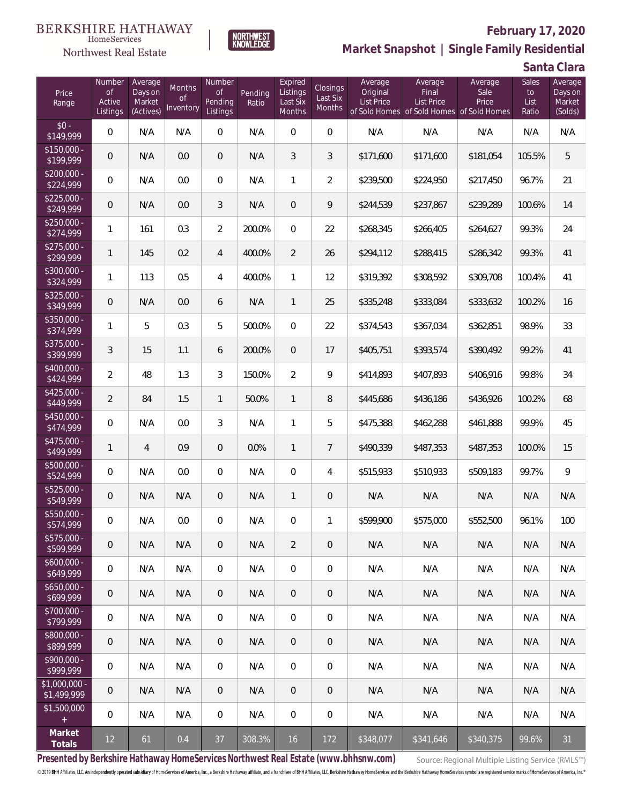#### **BERKSHIRE HATHAWAY**  $\label{lem:sevices} \textsc{Home} \textsc{Service} \textsc{s}$

### Northwest Real Estate



### **February 17, 2020 Market Snapshot | Single Family Residential**

**Santa Clara**

| Price<br>Range               | Number<br><b>of</b><br>Active<br>Listings | Average<br>Days on<br>Market<br>(Actives) | Months<br>Οf<br>Inventory | Number<br><b>of</b><br>Pending<br>Listings | Pending<br>Ratio | Expired<br>Listings<br>Last Six<br>Months | Closings<br>Last Six<br>Months | Average<br>Original<br><b>List Price</b> | Average<br>Final<br><b>List Price</b><br>of Sold Homes of Sold Homes of Sold Homes | Average<br>Sale<br>Price | Sales<br>to<br>List<br>Ratio | Average<br>Days on<br>Market<br>(Solds) |
|------------------------------|-------------------------------------------|-------------------------------------------|---------------------------|--------------------------------------------|------------------|-------------------------------------------|--------------------------------|------------------------------------------|------------------------------------------------------------------------------------|--------------------------|------------------------------|-----------------------------------------|
| $$0 -$<br>\$149,999          | $\overline{0}$                            | N/A                                       | N/A                       | $\overline{0}$                             | N/A              | $\Omega$                                  | $\overline{0}$                 | N/A                                      | N/A                                                                                | N/A                      | N/A                          | N/A                                     |
| $$150,000 -$<br>\$199,999    | $\overline{0}$                            | N/A                                       | 0.0                       | $\overline{0}$                             | N/A              | 3                                         | 3                              | \$171,600                                | \$171,600                                                                          | \$181,054                | 105.5%                       | 5                                       |
| $$200,000 -$<br>\$224,999    | $\overline{0}$                            | N/A                                       | 0.0                       | $\overline{0}$                             | N/A              | $\mathbf{1}$                              | $\overline{2}$                 | \$239,500                                | \$224,950                                                                          | \$217,450                | 96.7%                        | 21                                      |
| $$225,000 -$<br>\$249,999    | $\overline{0}$                            | N/A                                       | 0.0                       | 3                                          | N/A              | $\overline{0}$                            | 9                              | \$244,539                                | \$237,867                                                                          | \$239,289                | 100.6%                       | 14                                      |
| $$250,000 -$<br>\$274,999    | 1                                         | 161                                       | 0.3                       | $\overline{2}$                             | 200.0%           | 0                                         | 22                             | \$268,345                                | \$266,405                                                                          | \$264,627                | 99.3%                        | 24                                      |
| $$275,000 -$<br>\$299,999    | $\mathbf{1}$                              | 145                                       | 0.2                       | 4                                          | 400.0%           | $\overline{2}$                            | 26                             | \$294,112                                | \$288,415                                                                          | \$286,342                | 99.3%                        | 41                                      |
| $$300,000 -$<br>\$324,999    | 1                                         | 113                                       | 0.5                       | 4                                          | 400.0%           | $\mathbf{1}$                              | 12                             | \$319,392                                | \$308,592                                                                          | \$309,708                | 100.4%                       | 41                                      |
| $$325,000 -$<br>\$349,999    | $\overline{0}$                            | N/A                                       | 0.0                       | 6                                          | N/A              | $\mathbf{1}$                              | 25                             | \$335,248                                | \$333,084                                                                          | \$333,632                | 100.2%                       | 16                                      |
| \$350,000 -<br>\$374,999     | $\mathbf{1}$                              | 5                                         | 0.3                       | 5                                          | 500.0%           | $\overline{0}$                            | 22                             | \$374,543                                | \$367,034                                                                          | \$362,851                | 98.9%                        | 33                                      |
| \$375,000 -<br>\$399,999     | 3                                         | 15                                        | 1.1                       | 6                                          | 200.0%           | $\overline{0}$                            | 17                             | \$405,751                                | \$393,574                                                                          | \$390,492                | 99.2%                        | 41                                      |
| $$400,000 -$<br>\$424,999    | $\overline{2}$                            | 48                                        | 1.3                       | $\mathfrak{Z}$                             | 150.0%           | $\overline{2}$                            | 9                              | \$414,893                                | \$407,893                                                                          | \$406,916                | 99.8%                        | 34                                      |
| $$425,000 -$<br>\$449,999    | $\overline{a}$                            | 84                                        | 1.5                       | $\mathbf{1}$                               | 50.0%            | $\mathbf{1}$                              | 8                              | \$445,686                                | \$436,186                                                                          | \$436,926                | 100.2%                       | 68                                      |
| $$450,000 -$<br>\$474,999    | $\overline{0}$                            | N/A                                       | 0.0                       | $\mathfrak{Z}$                             | N/A              | $\mathbf{1}$                              | 5                              | \$475,388                                | \$462,288                                                                          | \$461,888                | 99.9%                        | 45                                      |
| $$475,000 -$<br>\$499,999    | $\mathbf{1}$                              | $\overline{4}$                            | 0.9                       | $\overline{0}$                             | 0.0%             | $\mathbf{1}$                              | $7\overline{ }$                | \$490,339                                | \$487,353                                                                          | \$487,353                | 100.0%                       | 15                                      |
| $$500,000 -$<br>\$524,999    | $\overline{0}$                            | N/A                                       | 0.0                       | $\Omega$                                   | N/A              | $\overline{0}$                            | $\overline{4}$                 | \$515,933                                | \$510,933                                                                          | \$509,183                | 99.7%                        | $\mathsf{Q}$                            |
| $$525,000 -$<br>\$549,999    | $\overline{0}$                            | N/A                                       | N/A                       | $\overline{0}$                             | N/A              | $\mathbf{1}$                              | $\theta$                       | N/A                                      | N/A                                                                                | N/A                      | N/A                          | N/A                                     |
| $$550,000 -$<br>\$574,999    | $\overline{0}$                            | N/A                                       | 0.0                       | $\overline{0}$                             | N/A              | $\overline{0}$                            | 1                              | \$599,900                                | \$575,000                                                                          | \$552,500                | 96.1%                        | 100                                     |
| $$575,000 -$<br>\$599,999    | $\mathbf 0$                               | N/A                                       | N/A                       | $\,0\,$                                    | N/A              | $\overline{2}$                            | $\mathbf 0$                    | N/A                                      | N/A                                                                                | N/A                      | N/A                          | N/A                                     |
| $$600,000 -$<br>\$649,999    | $\boldsymbol{0}$                          | N/A                                       | N/A                       | $\mathbf 0$                                | N/A              | 0                                         | $\mathbf 0$                    | N/A                                      | N/A                                                                                | N/A                      | N/A                          | N/A                                     |
| $$650,000 -$<br>\$699,999    | $\mathbf 0$                               | N/A                                       | N/A                       | $\overline{0}$                             | N/A              | $\overline{0}$                            | $\mathbf 0$                    | N/A                                      | N/A                                                                                | N/A                      | N/A                          | N/A                                     |
| $$700,000 -$<br>\$799,999    | 0                                         | N/A                                       | N/A                       | $\overline{0}$                             | N/A              | $\mathbf 0$                               | $\mathbf 0$                    | N/A                                      | N/A                                                                                | N/A                      | N/A                          | N/A                                     |
| \$800,000 -<br>\$899,999     | $\mathbf 0$                               | N/A                                       | N/A                       | $\mathbf 0$                                | N/A              | $\overline{0}$                            | $\mathbf 0$                    | N/A                                      | N/A                                                                                | N/A                      | N/A                          | N/A                                     |
| $$900,000 -$<br>\$999,999    | 0                                         | N/A                                       | N/A                       | $\overline{0}$                             | N/A              | $\mathbf 0$                               | $\mathbf 0$                    | N/A                                      | N/A                                                                                | N/A                      | N/A                          | N/A                                     |
| \$1,000,000 -<br>\$1,499,999 | 0                                         | N/A                                       | N/A                       | $\overline{0}$                             | N/A              | $\overline{0}$                            | $\mathbf 0$                    | N/A                                      | N/A                                                                                | N/A                      | N/A                          | N/A                                     |
| \$1,500,000<br>$\pm$         | $\overline{0}$                            | N/A                                       | N/A                       | $\overline{0}$                             | N/A              | $\mathbf 0$                               | $\mathbf 0$                    | N/A                                      | N/A                                                                                | N/A                      | N/A                          | N/A                                     |
| Market<br>Totals             | 12                                        | 61                                        | 0.4                       | 37                                         | 308.3%           | 16                                        | 172                            | \$348,077                                | \$341,646                                                                          | \$340,375                | 99.6%                        | 31                                      |

**Presented by Berkshire Hathaway HomeServices Northwest Real Estate (www.bhhsnw.com)**

Source: Regional Multiple Listing Service (RMLS™)